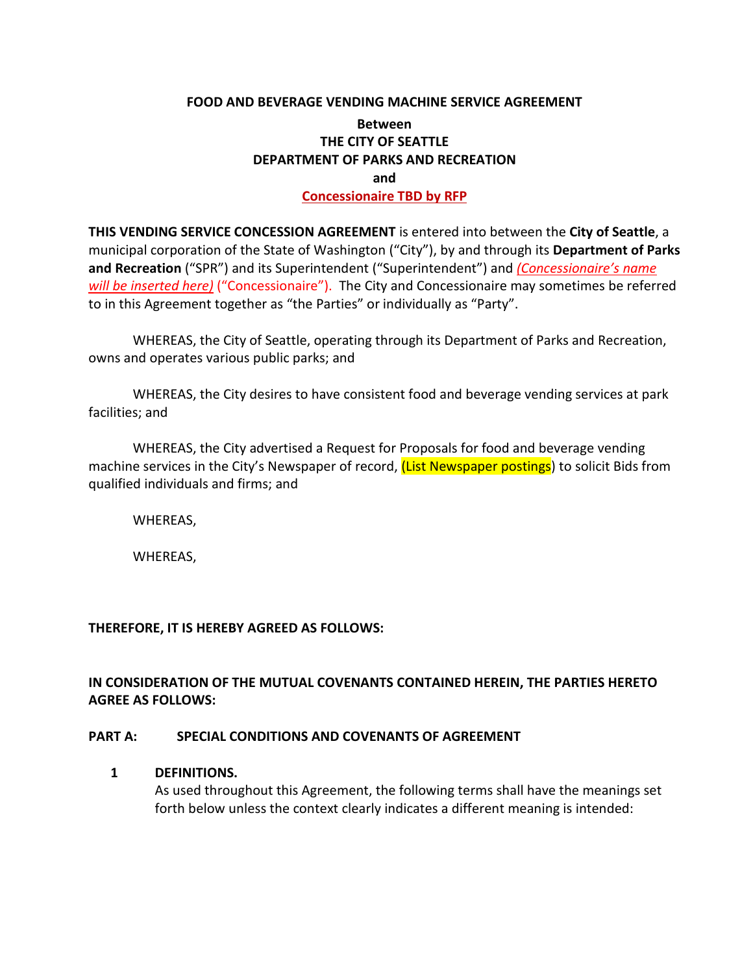#### **FOOD AND BEVERAGE VENDING MACHINE SERVICE AGREEMENT**

## **Between THE CITY OF SEATTLE DEPARTMENT OF PARKS AND RECREATION and Concessionaire TBD by RFP**

**THIS VENDING SERVICE CONCESSION AGREEMENT** is entered into between the **City of Seattle**, a municipal corporation of the State of Washington ("City"), by and through its **Department of Parks and Recreation** ("SPR") and its Superintendent ("Superintendent") and *(Concessionaire's name will be inserted here)* ("Concessionaire"). The City and Concessionaire may sometimes be referred to in this Agreement together as "the Parties" or individually as "Party".

WHEREAS, the City of Seattle, operating through its Department of Parks and Recreation, owns and operates various public parks; and

WHEREAS, the City desires to have consistent food and beverage vending services at park facilities; and

WHEREAS, the City advertised a Request for Proposals for food and beverage vending machine services in the City's Newspaper of record, (List Newspaper postings) to solicit Bids from qualified individuals and firms; and

WHEREAS,

WHEREAS,

## **THEREFORE, IT IS HEREBY AGREED AS FOLLOWS:**

## **IN CONSIDERATION OF THE MUTUAL COVENANTS CONTAINED HEREIN, THE PARTIES HERETO AGREE AS FOLLOWS:**

## **PART A: SPECIAL CONDITIONS AND COVENANTS OF AGREEMENT**

## **1 DEFINITIONS.**

As used throughout this Agreement, the following terms shall have the meanings set forth below unless the context clearly indicates a different meaning is intended: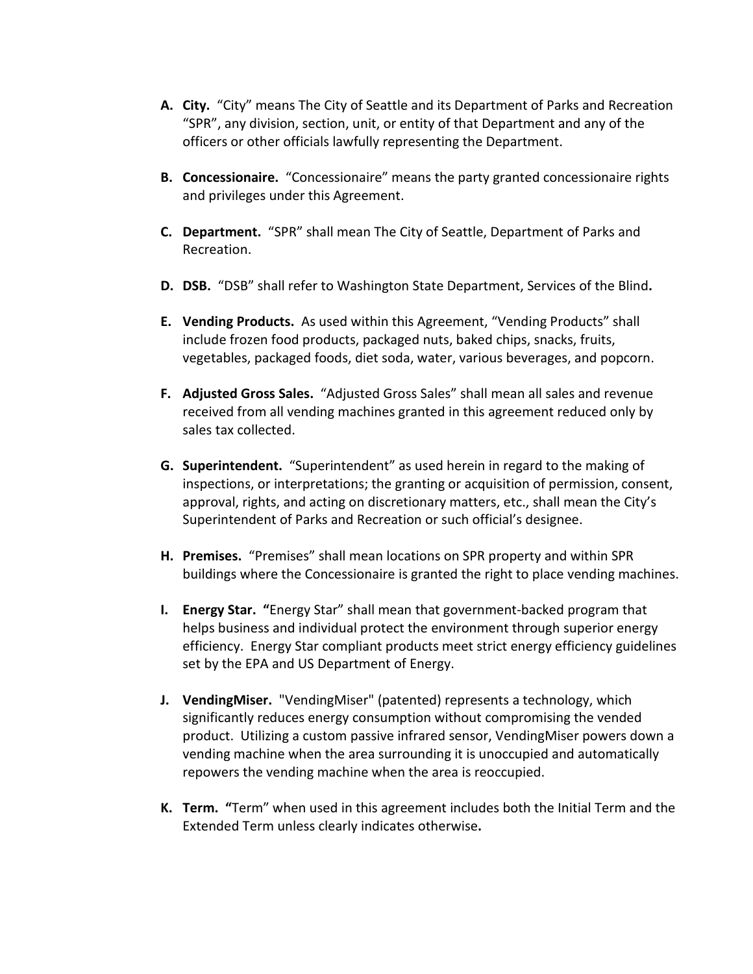- **A. City.** "City" means The City of Seattle and its Department of Parks and Recreation "SPR", any division, section, unit, or entity of that Department and any of the officers or other officials lawfully representing the Department.
- **B. Concessionaire.** "Concessionaire" means the party granted concessionaire rights and privileges under this Agreement.
- **C. Department.** "SPR" shall mean The City of Seattle, Department of Parks and Recreation.
- **D. DSB.** "DSB" shall refer to Washington State Department, Services of the Blind**.**
- **E. Vending Products.** As used within this Agreement, "Vending Products" shall include frozen food products, packaged nuts, baked chips, snacks, fruits, vegetables, packaged foods, diet soda, water, various beverages, and popcorn.
- **F. Adjusted Gross Sales.** "Adjusted Gross Sales" shall mean all sales and revenue received from all vending machines granted in this agreement reduced only by sales tax collected.
- **G. Superintendent.** "Superintendent" as used herein in regard to the making of inspections, or interpretations; the granting or acquisition of permission, consent, approval, rights, and acting on discretionary matters, etc., shall mean the City's Superintendent of Parks and Recreation or such official's designee.
- **H. Premises.** "Premises" shall mean locations on SPR property and within SPR buildings where the Concessionaire is granted the right to place vending machines.
- **I. Energy Star. "**Energy Star" shall mean that government-backed program that helps business and individual protect the environment through superior energy efficiency. Energy Star compliant products meet strict energy efficiency guidelines set by the EPA and US Department of Energy.
- **J. VendingMiser.** "VendingMiser" (patented) represents a technology, which significantly reduces energy consumption without compromising the vended product. Utilizing a custom passive infrared sensor, VendingMiser powers down a vending machine when the area surrounding it is unoccupied and automatically repowers the vending machine when the area is reoccupied.
- **K. Term. "**Term" when used in this agreement includes both the Initial Term and the Extended Term unless clearly indicates otherwise**.**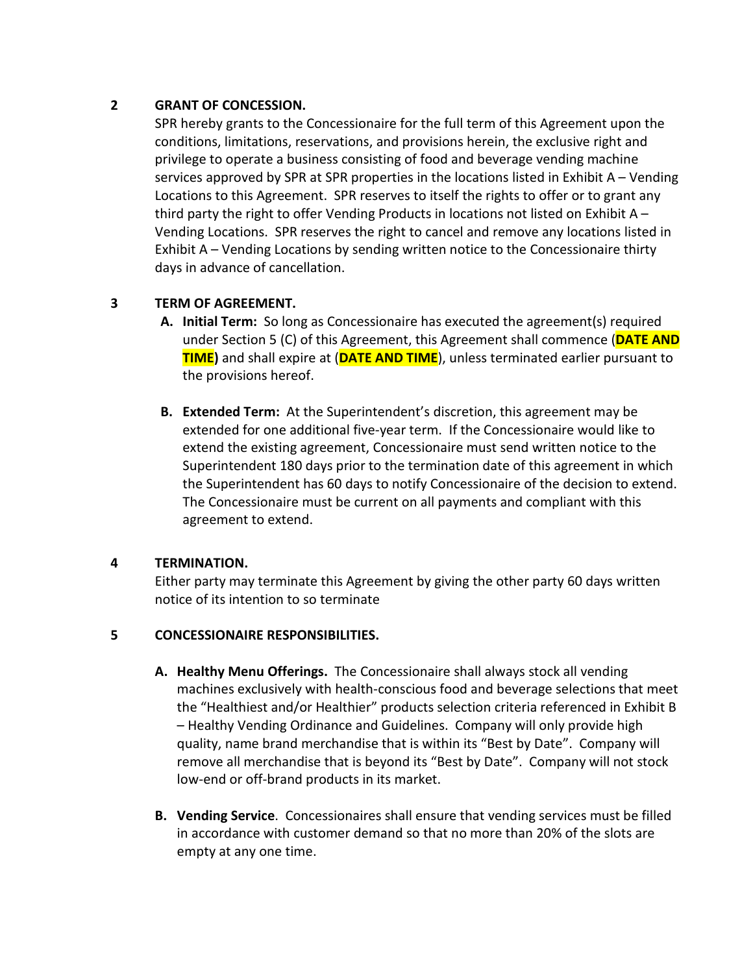## **2 GRANT OF CONCESSION.**

SPR hereby grants to the Concessionaire for the full term of this Agreement upon the conditions, limitations, reservations, and provisions herein, the exclusive right and privilege to operate a business consisting of food and beverage vending machine services approved by SPR at SPR properties in the locations listed in Exhibit A – Vending Locations to this Agreement. SPR reserves to itself the rights to offer or to grant any third party the right to offer Vending Products in locations not listed on Exhibit  $A -$ Vending Locations. SPR reserves the right to cancel and remove any locations listed in Exhibit A – Vending Locations by sending written notice to the Concessionaire thirty days in advance of cancellation.

## **3 TERM OF AGREEMENT.**

- **A. Initial Term:** So long as Concessionaire has executed the agreement(s) required under Section 5 (C) of this Agreement, this Agreement shall commence (**DATE AND TIME)** and shall expire at (**DATE AND TIME**), unless terminated earlier pursuant to the provisions hereof.
- **B. Extended Term:** At the Superintendent's discretion, this agreement may be extended for one additional five-year term. If the Concessionaire would like to extend the existing agreement, Concessionaire must send written notice to the Superintendent 180 days prior to the termination date of this agreement in which the Superintendent has 60 days to notify Concessionaire of the decision to extend. The Concessionaire must be current on all payments and compliant with this agreement to extend.

## **4 TERMINATION.**

Either party may terminate this Agreement by giving the other party 60 days written notice of its intention to so terminate

## **5 CONCESSIONAIRE RESPONSIBILITIES.**

- **A. Healthy Menu Offerings.** The Concessionaire shall always stock all vending machines exclusively with health-conscious food and beverage selections that meet the "Healthiest and/or Healthier" products selection criteria referenced in Exhibit B – Healthy Vending Ordinance and Guidelines. Company will only provide high quality, name brand merchandise that is within its "Best by Date". Company will remove all merchandise that is beyond its "Best by Date". Company will not stock low-end or off-brand products in its market.
- **B. Vending Service**. Concessionaires shall ensure that vending services must be filled in accordance with customer demand so that no more than 20% of the slots are empty at any one time.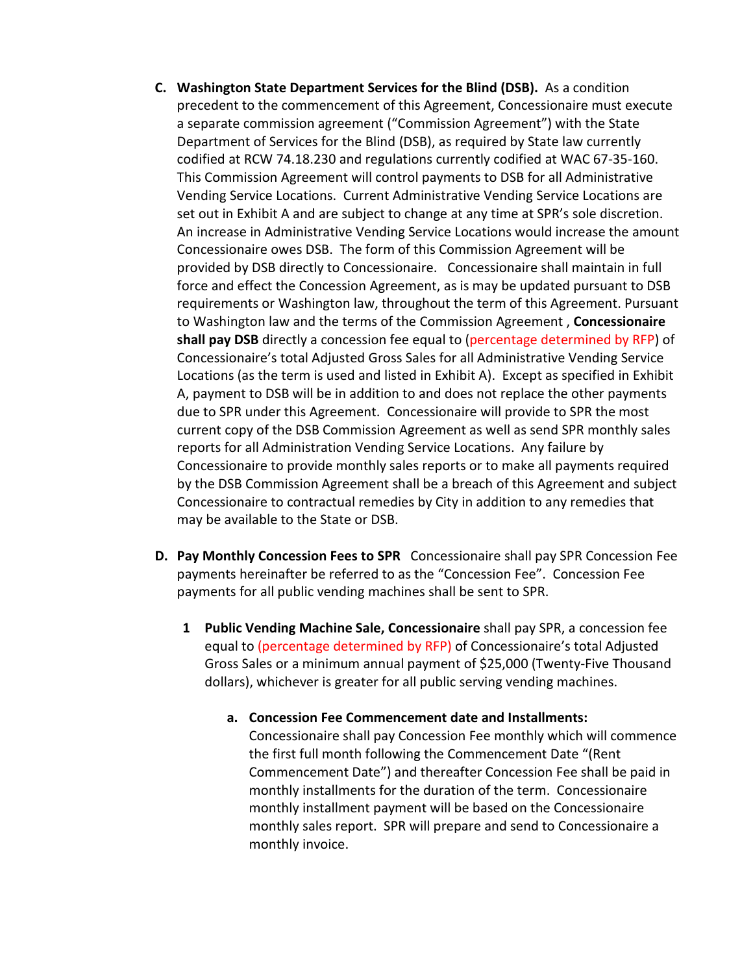- **C. Washington State Department Services for the Blind (DSB).** As a condition precedent to the commencement of this Agreement, Concessionaire must execute a separate commission agreement ("Commission Agreement") with the State Department of Services for the Blind (DSB), as required by State law currently codified at RCW 74.18.230 and regulations currently codified at WAC 67-35-160. This Commission Agreement will control payments to DSB for all Administrative Vending Service Locations. Current Administrative Vending Service Locations are set out in Exhibit A and are subject to change at any time at SPR's sole discretion. An increase in Administrative Vending Service Locations would increase the amount Concessionaire owes DSB. The form of this Commission Agreement will be provided by DSB directly to Concessionaire. Concessionaire shall maintain in full force and effect the Concession Agreement, as is may be updated pursuant to DSB requirements or Washington law, throughout the term of this Agreement. Pursuant to Washington law and the terms of the Commission Agreement , **Concessionaire shall pay DSB** directly a concession fee equal to (percentage determined by RFP) of Concessionaire's total Adjusted Gross Sales for all Administrative Vending Service Locations (as the term is used and listed in Exhibit A). Except as specified in Exhibit A, payment to DSB will be in addition to and does not replace the other payments due to SPR under this Agreement. Concessionaire will provide to SPR the most current copy of the DSB Commission Agreement as well as send SPR monthly sales reports for all Administration Vending Service Locations. Any failure by Concessionaire to provide monthly sales reports or to make all payments required by the DSB Commission Agreement shall be a breach of this Agreement and subject Concessionaire to contractual remedies by City in addition to any remedies that may be available to the State or DSB.
- **D. Pay Monthly Concession Fees to SPR** Concessionaire shall pay SPR Concession Fee payments hereinafter be referred to as the "Concession Fee". Concession Fee payments for all public vending machines shall be sent to SPR.
	- **1 Public Vending Machine Sale, Concessionaire** shall pay SPR, a concession fee equal to (percentage determined by RFP) of Concessionaire's total Adjusted Gross Sales or a minimum annual payment of \$25,000 (Twenty-Five Thousand dollars), whichever is greater for all public serving vending machines.
		- **a. Concession Fee Commencement date and Installments:**  Concessionaire shall pay Concession Fee monthly which will commence the first full month following the Commencement Date "(Rent Commencement Date") and thereafter Concession Fee shall be paid in monthly installments for the duration of the term. Concessionaire monthly installment payment will be based on the Concessionaire monthly sales report. SPR will prepare and send to Concessionaire a monthly invoice.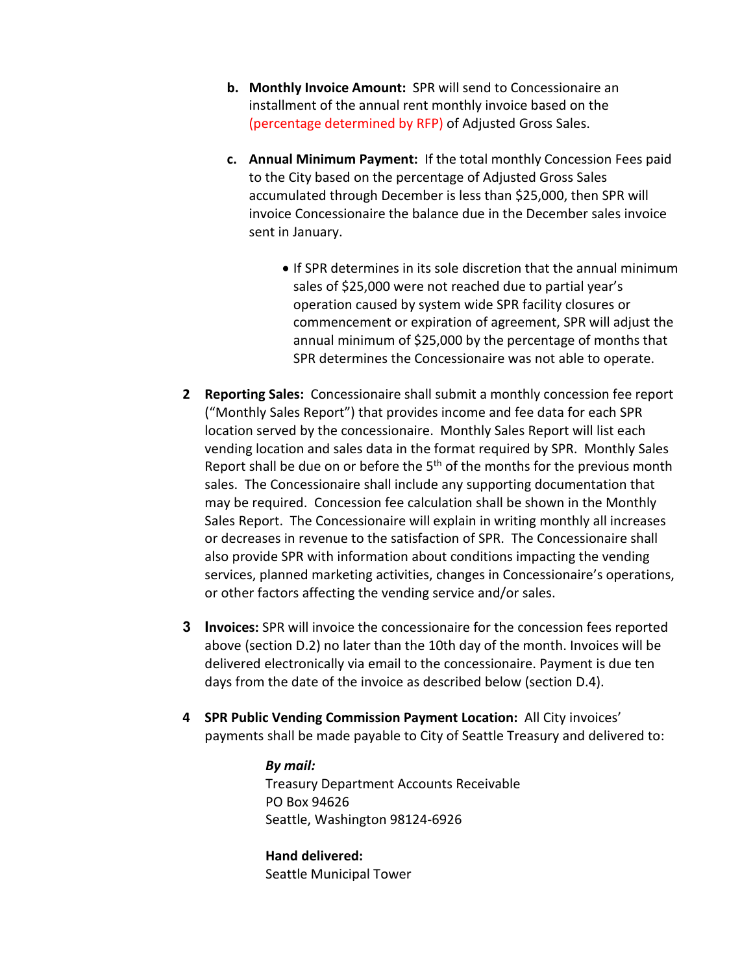- **b. Monthly Invoice Amount:** SPR will send to Concessionaire an installment of the annual rent monthly invoice based on the (percentage determined by RFP) of Adjusted Gross Sales.
- **c. Annual Minimum Payment:** If the total monthly Concession Fees paid to the City based on the percentage of Adjusted Gross Sales accumulated through December is less than \$25,000, then SPR will invoice Concessionaire the balance due in the December sales invoice sent in January.
	- If SPR determines in its sole discretion that the annual minimum sales of \$25,000 were not reached due to partial year's operation caused by system wide SPR facility closures or commencement or expiration of agreement, SPR will adjust the annual minimum of \$25,000 by the percentage of months that SPR determines the Concessionaire was not able to operate.
- **2 Reporting Sales:** Concessionaire shall submit a monthly concession fee report ("Monthly Sales Report") that provides income and fee data for each SPR location served by the concessionaire. Monthly Sales Report will list each vending location and sales data in the format required by SPR. Monthly Sales Report shall be due on or before the  $5<sup>th</sup>$  of the months for the previous month sales. The Concessionaire shall include any supporting documentation that may be required. Concession fee calculation shall be shown in the Monthly Sales Report. The Concessionaire will explain in writing monthly all increases or decreases in revenue to the satisfaction of SPR. The Concessionaire shall also provide SPR with information about conditions impacting the vending services, planned marketing activities, changes in Concessionaire's operations, or other factors affecting the vending service and/or sales.
- **3 Invoices:** SPR will invoice the concessionaire for the concession fees reported above (section D.2) no later than the 10th day of the month. Invoices will be delivered electronically via email to the concessionaire. Payment is due ten days from the date of the invoice as described below (section D.4).
- **4 SPR Public Vending Commission Payment Location:** All City invoices' payments shall be made payable to City of Seattle Treasury and delivered to:

*By mail:* Treasury Department Accounts Receivable PO Box 94626 Seattle, Washington 98124-6926

**Hand delivered:** Seattle Municipal Tower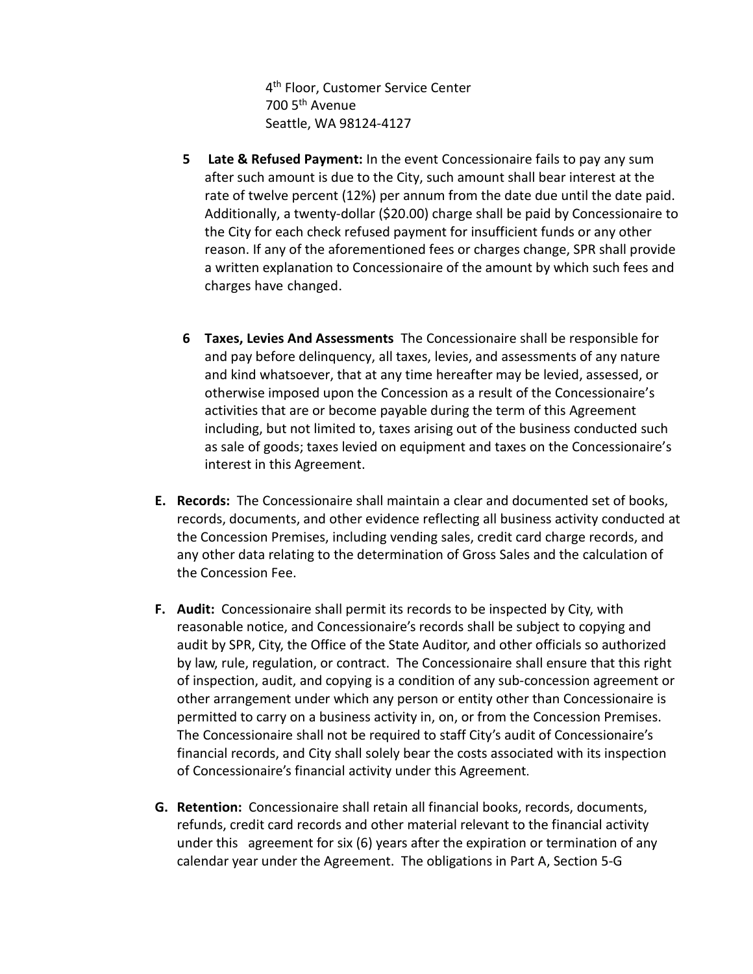4<sup>th</sup> Floor, Customer Service Center 700 5th Avenue Seattle, WA 98124-4127

- **5 Late & Refused Payment:** In the event Concessionaire fails to pay any sum after such amount is due to the City, such amount shall bear interest at the rate of twelve percent (12%) per annum from the date due until the date paid. Additionally, a twenty-dollar (\$20.00) charge shall be paid by Concessionaire to the City for each check refused payment for insufficient funds or any other reason. If any of the aforementioned fees or charges change, SPR shall provide a written explanation to Concessionaire of the amount by which such fees and charges have changed.
- **6 Taxes, Levies And Assessments** The Concessionaire shall be responsible for and pay before delinquency, all taxes, levies, and assessments of any nature and kind whatsoever, that at any time hereafter may be levied, assessed, or otherwise imposed upon the Concession as a result of the Concessionaire's activities that are or become payable during the term of this Agreement including, but not limited to, taxes arising out of the business conducted such as sale of goods; taxes levied on equipment and taxes on the Concessionaire's interest in this Agreement.
- **E. Records:** The Concessionaire shall maintain a clear and documented set of books, records, documents, and other evidence reflecting all business activity conducted at the Concession Premises, including vending sales, credit card charge records, and any other data relating to the determination of Gross Sales and the calculation of the Concession Fee.
- **F. Audit:** Concessionaire shall permit its records to be inspected by City, with reasonable notice, and Concessionaire's records shall be subject to copying and audit by SPR, City, the Office of the State Auditor, and other officials so authorized by law, rule, regulation, or contract. The Concessionaire shall ensure that this right of inspection, audit, and copying is a condition of any sub-concession agreement or other arrangement under which any person or entity other than Concessionaire is permitted to carry on a business activity in, on, or from the Concession Premises. The Concessionaire shall not be required to staff City's audit of Concessionaire's financial records, and City shall solely bear the costs associated with its inspection of Concessionaire's financial activity under this Agreement.
- **G. Retention:** Concessionaire shall retain all financial books, records, documents, refunds, credit card records and other material relevant to the financial activity under this agreement for six (6) years after the expiration or termination of any calendar year under the Agreement. The obligations in Part A, Section 5-G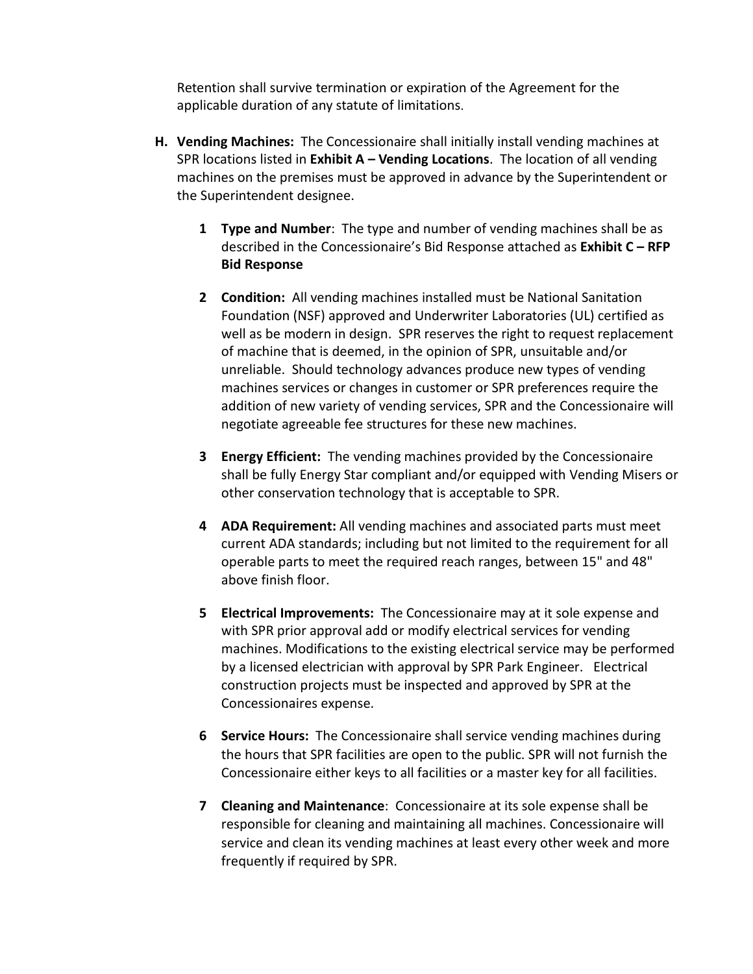Retention shall survive termination or expiration of the Agreement for the applicable duration of any statute of limitations.

- **H. Vending Machines:** The Concessionaire shall initially install vending machines at SPR locations listed in **Exhibit A – Vending Locations**. The location of all vending machines on the premises must be approved in advance by the Superintendent or the Superintendent designee.
	- **1 Type and Number**: The type and number of vending machines shall be as described in the Concessionaire's Bid Response attached as **Exhibit C – RFP Bid Response**
	- **2 Condition:** All vending machines installed must be National Sanitation Foundation (NSF) approved and Underwriter Laboratories (UL) certified as well as be modern in design. SPR reserves the right to request replacement of machine that is deemed, in the opinion of SPR, unsuitable and/or unreliable. Should technology advances produce new types of vending machines services or changes in customer or SPR preferences require the addition of new variety of vending services, SPR and the Concessionaire will negotiate agreeable fee structures for these new machines.
	- **3 Energy Efficient:** The vending machines provided by the Concessionaire shall be fully Energy Star compliant and/or equipped with Vending Misers or other conservation technology that is acceptable to SPR.
	- **4 ADA Requirement:** All vending machines and associated parts must meet current ADA standards; including but not limited to the requirement for all operable parts to meet the required reach ranges, between 15" and 48" above finish floor.
	- **5 Electrical Improvements:** The Concessionaire may at it sole expense and with SPR prior approval add or modify electrical services for vending machines. Modifications to the existing electrical service may be performed by a licensed electrician with approval by SPR Park Engineer. Electrical construction projects must be inspected and approved by SPR at the Concessionaires expense.
	- **6 Service Hours:** The Concessionaire shall service vending machines during the hours that SPR facilities are open to the public. SPR will not furnish the Concessionaire either keys to all facilities or a master key for all facilities.
	- **7 Cleaning and Maintenance**: Concessionaire at its sole expense shall be responsible for cleaning and maintaining all machines. Concessionaire will service and clean its vending machines at least every other week and more frequently if required by SPR.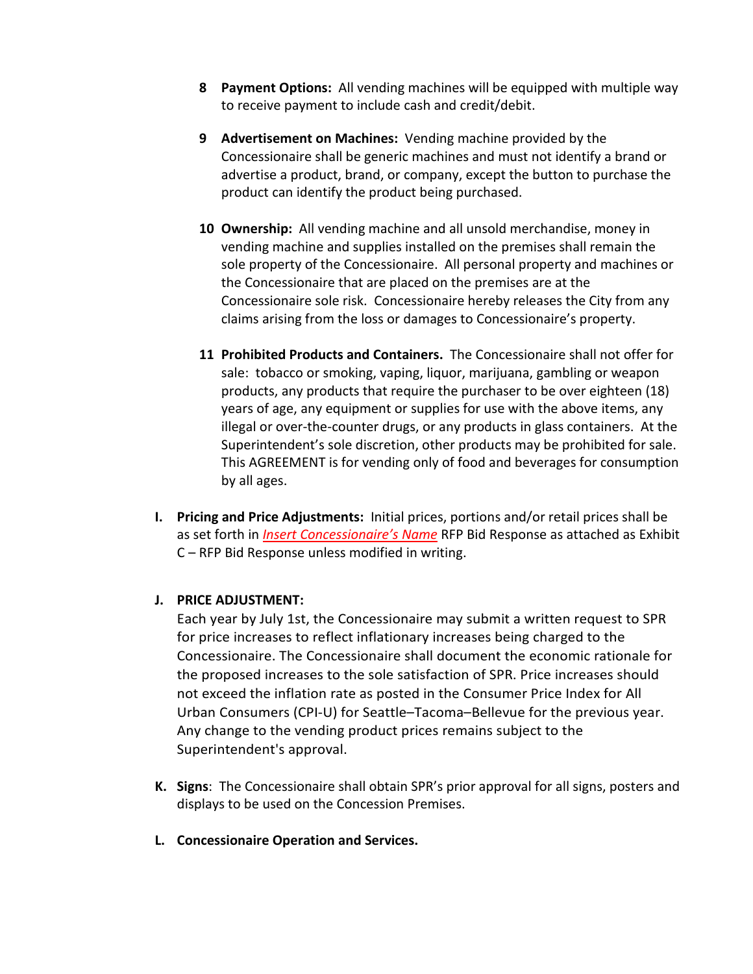- **8 Payment Options:** All vending machines will be equipped with multiple way to receive payment to include cash and credit/debit.
- **9 Advertisement on Machines:** Vending machine provided by the Concessionaire shall be generic machines and must not identify a brand or advertise a product, brand, or company, except the button to purchase the product can identify the product being purchased.
- **10 Ownership:** All vending machine and all unsold merchandise, money in vending machine and supplies installed on the premises shall remain the sole property of the Concessionaire. All personal property and machines or the Concessionaire that are placed on the premises are at the Concessionaire sole risk. Concessionaire hereby releases the City from any claims arising from the loss or damages to Concessionaire's property.
- **11 Prohibited Products and Containers.** The Concessionaire shall not offer for sale: tobacco or smoking, vaping, liquor, marijuana, gambling or weapon products, any products that require the purchaser to be over eighteen (18) years of age, any equipment or supplies for use with the above items, any illegal or over-the-counter drugs, or any products in glass containers. At the Superintendent's sole discretion, other products may be prohibited for sale. This AGREEMENT is for vending only of food and beverages for consumption by all ages.
- **I. Pricing and Price Adjustments:** Initial prices, portions and/or retail prices shall be as set forth in *Insert Concessionaire's Name* RFP Bid Response as attached as Exhibit C – RFP Bid Response unless modified in writing.

## **J. PRICE ADJUSTMENT:**

Each year by July 1st, the Concessionaire may submit a written request to SPR for price increases to reflect inflationary increases being charged to the Concessionaire. The Concessionaire shall document the economic rationale for the proposed increases to the sole satisfaction of SPR. Price increases should not exceed the inflation rate as posted in the Consumer Price Index for All Urban Consumers (CPI-U) for Seattle–Tacoma–Bellevue for the previous year. Any change to the vending product prices remains subject to the Superintendent's approval.

- **K. Signs**: The Concessionaire shall obtain SPR's prior approval for all signs, posters and displays to be used on the Concession Premises.
- **L. Concessionaire Operation and Services.**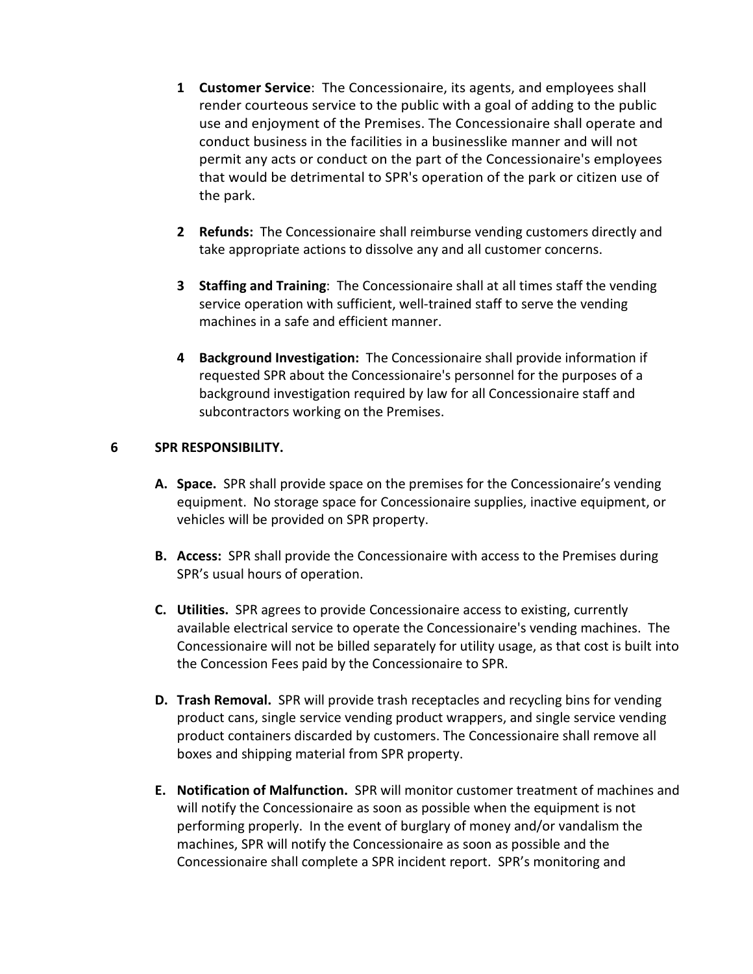- **1 Customer Service**: The Concessionaire, its agents, and employees shall render courteous service to the public with a goal of adding to the public use and enjoyment of the Premises. The Concessionaire shall operate and conduct business in the facilities in a businesslike manner and will not permit any acts or conduct on the part of the Concessionaire's employees that would be detrimental to SPR's operation of the park or citizen use of the park.
- **2 Refunds:** The Concessionaire shall reimburse vending customers directly and take appropriate actions to dissolve any and all customer concerns.
- **3 Staffing and Training**: The Concessionaire shall at all times staff the vending service operation with sufficient, well-trained staff to serve the vending machines in a safe and efficient manner.
- **4 Background Investigation:** The Concessionaire shall provide information if requested SPR about the Concessionaire's personnel for the purposes of a background investigation required by law for all Concessionaire staff and subcontractors working on the Premises.

## **6 SPR RESPONSIBILITY.**

- **A. Space.** SPR shall provide space on the premises for the Concessionaire's vending equipment. No storage space for Concessionaire supplies, inactive equipment, or vehicles will be provided on SPR property.
- **B. Access:** SPR shall provide the Concessionaire with access to the Premises during SPR's usual hours of operation.
- **C. Utilities.** SPR agrees to provide Concessionaire access to existing, currently available electrical service to operate the Concessionaire's vending machines. The Concessionaire will not be billed separately for utility usage, as that cost is built into the Concession Fees paid by the Concessionaire to SPR.
- **D. Trash Removal.** SPR will provide trash receptacles and recycling bins for vending product cans, single service vending product wrappers, and single service vending product containers discarded by customers. The Concessionaire shall remove all boxes and shipping material from SPR property.
- **E. Notification of Malfunction.** SPR will monitor customer treatment of machines and will notify the Concessionaire as soon as possible when the equipment is not performing properly. In the event of burglary of money and/or vandalism the machines, SPR will notify the Concessionaire as soon as possible and the Concessionaire shall complete a SPR incident report. SPR's monitoring and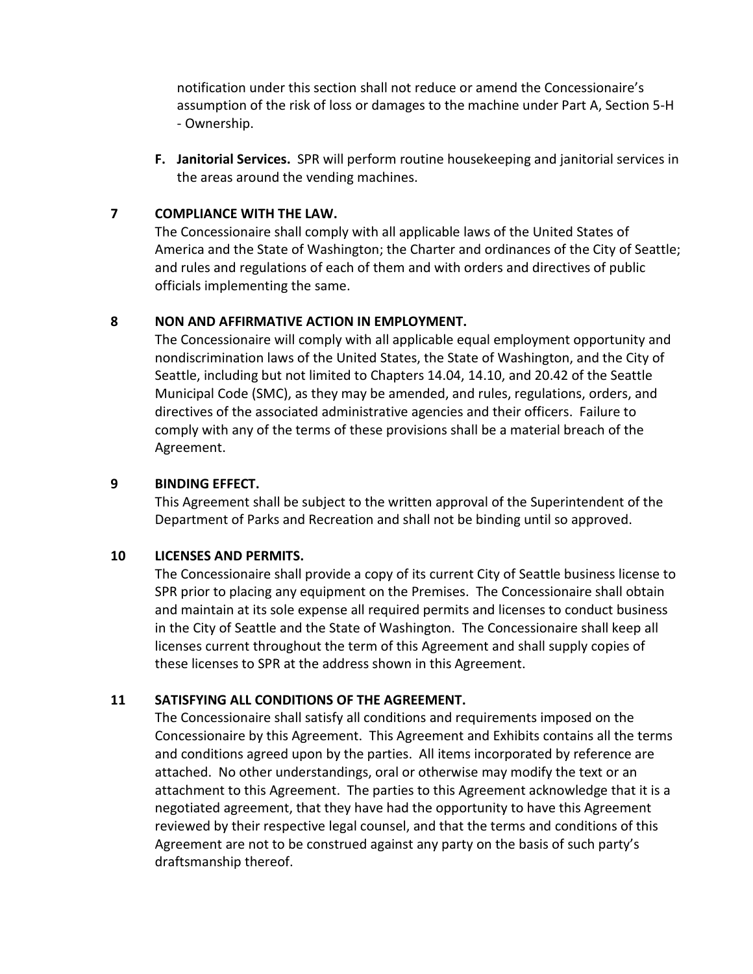notification under this section shall not reduce or amend the Concessionaire's assumption of the risk of loss or damages to the machine under Part A, Section 5-H - Ownership.

**F. Janitorial Services.** SPR will perform routine housekeeping and janitorial services in the areas around the vending machines.

## **7 COMPLIANCE WITH THE LAW.**

The Concessionaire shall comply with all applicable laws of the United States of America and the State of Washington; the Charter and ordinances of the City of Seattle; and rules and regulations of each of them and with orders and directives of public officials implementing the same.

## **8 NON AND AFFIRMATIVE ACTION IN EMPLOYMENT.**

The Concessionaire will comply with all applicable equal employment opportunity and nondiscrimination laws of the United States, the State of Washington, and the City of Seattle, including but not limited to Chapters 14.04, 14.10, and 20.42 of the Seattle Municipal Code (SMC), as they may be amended, and rules, regulations, orders, and directives of the associated administrative agencies and their officers. Failure to comply with any of the terms of these provisions shall be a material breach of the Agreement.

## **9 BINDING EFFECT.**

This Agreement shall be subject to the written approval of the Superintendent of the Department of Parks and Recreation and shall not be binding until so approved.

## **10 LICENSES AND PERMITS.**

The Concessionaire shall provide a copy of its current City of Seattle business license to SPR prior to placing any equipment on the Premises. The Concessionaire shall obtain and maintain at its sole expense all required permits and licenses to conduct business in the City of Seattle and the State of Washington. The Concessionaire shall keep all licenses current throughout the term of this Agreement and shall supply copies of these licenses to SPR at the address shown in this Agreement.

## **11 SATISFYING ALL CONDITIONS OF THE AGREEMENT.**

The Concessionaire shall satisfy all conditions and requirements imposed on the Concessionaire by this Agreement. This Agreement and Exhibits contains all the terms and conditions agreed upon by the parties. All items incorporated by reference are attached. No other understandings, oral or otherwise may modify the text or an attachment to this Agreement. The parties to this Agreement acknowledge that it is a negotiated agreement, that they have had the opportunity to have this Agreement reviewed by their respective legal counsel, and that the terms and conditions of this Agreement are not to be construed against any party on the basis of such party's draftsmanship thereof.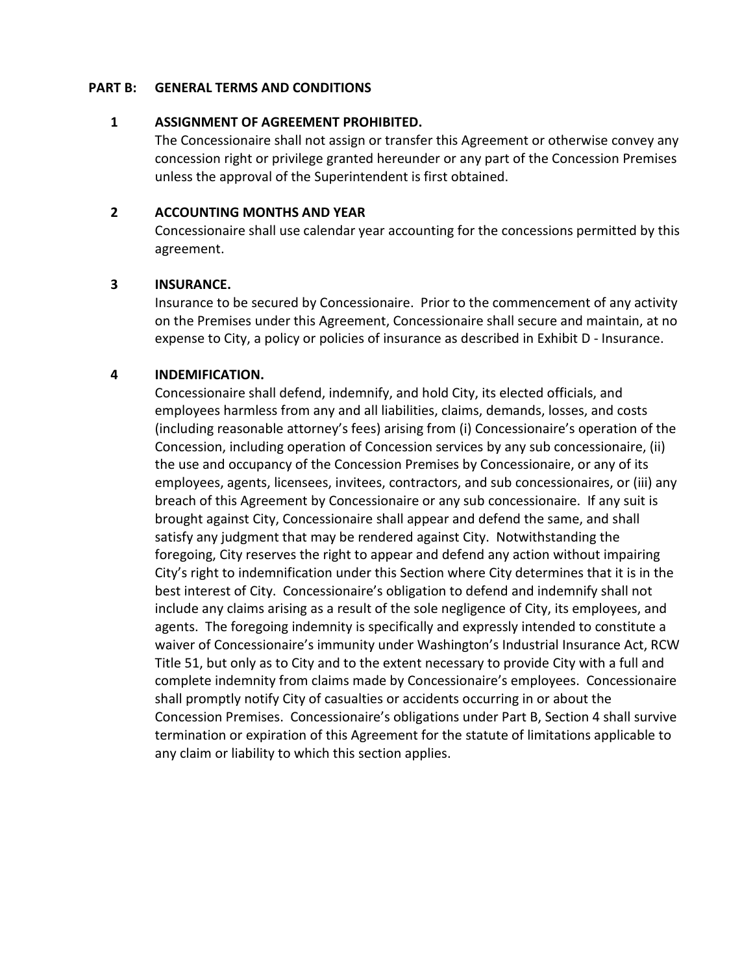#### **PART B: GENERAL TERMS AND CONDITIONS**

## **1 ASSIGNMENT OF AGREEMENT PROHIBITED.**

The Concessionaire shall not assign or transfer this Agreement or otherwise convey any concession right or privilege granted hereunder or any part of the Concession Premises unless the approval of the Superintendent is first obtained.

#### **2 ACCOUNTING MONTHS AND YEAR**

Concessionaire shall use calendar year accounting for the concessions permitted by this agreement.

## **3 INSURANCE.**

Insurance to be secured by Concessionaire. Prior to the commencement of any activity on the Premises under this Agreement, Concessionaire shall secure and maintain, at no expense to City, a policy or policies of insurance as described in Exhibit D - Insurance.

## **4 INDEMIFICATION.**

Concessionaire shall defend, indemnify, and hold City, its elected officials, and employees harmless from any and all liabilities, claims, demands, losses, and costs (including reasonable attorney's fees) arising from (i) Concessionaire's operation of the Concession, including operation of Concession services by any sub concessionaire, (ii) the use and occupancy of the Concession Premises by Concessionaire, or any of its employees, agents, licensees, invitees, contractors, and sub concessionaires, or (iii) any breach of this Agreement by Concessionaire or any sub concessionaire. If any suit is brought against City, Concessionaire shall appear and defend the same, and shall satisfy any judgment that may be rendered against City. Notwithstanding the foregoing, City reserves the right to appear and defend any action without impairing City's right to indemnification under this Section where City determines that it is in the best interest of City. Concessionaire's obligation to defend and indemnify shall not include any claims arising as a result of the sole negligence of City, its employees, and agents. The foregoing indemnity is specifically and expressly intended to constitute a waiver of Concessionaire's immunity under Washington's Industrial Insurance Act, RCW Title 51, but only as to City and to the extent necessary to provide City with a full and complete indemnity from claims made by Concessionaire's employees. Concessionaire shall promptly notify City of casualties or accidents occurring in or about the Concession Premises. Concessionaire's obligations under Part B, Section 4 shall survive termination or expiration of this Agreement for the statute of limitations applicable to any claim or liability to which this section applies.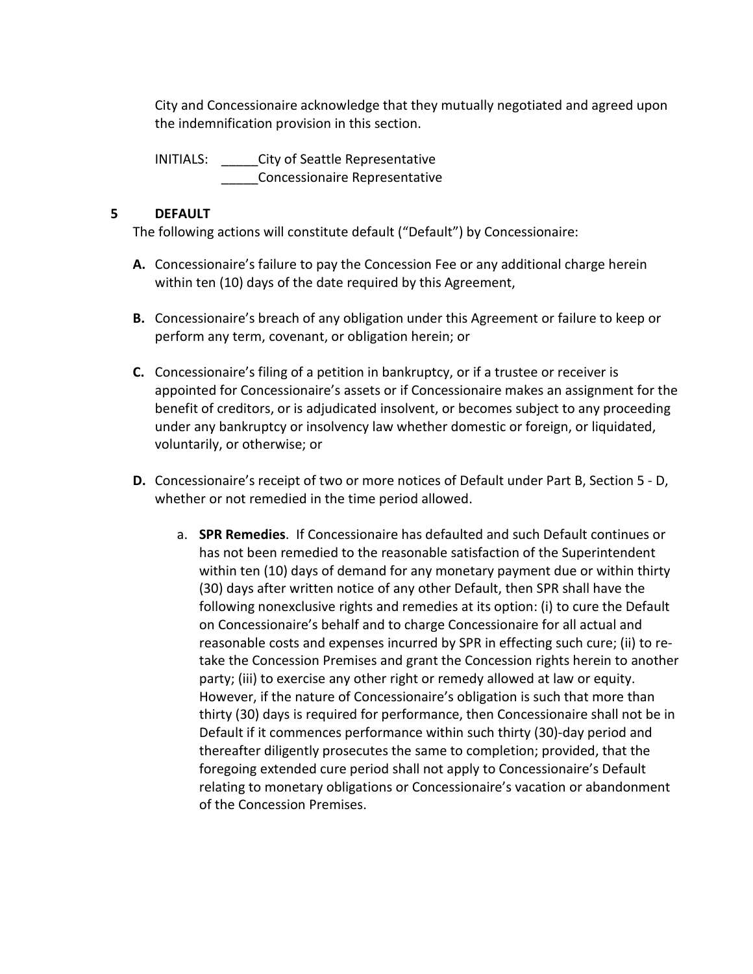City and Concessionaire acknowledge that they mutually negotiated and agreed upon the indemnification provision in this section.

INITIALS: \_\_\_\_\_City of Seattle Representative \_\_\_\_\_Concessionaire Representative

## **5 DEFAULT**

The following actions will constitute default ("Default") by Concessionaire:

- **A.** Concessionaire's failure to pay the Concession Fee or any additional charge herein within ten (10) days of the date required by this Agreement,
- **B.** Concessionaire's breach of any obligation under this Agreement or failure to keep or perform any term, covenant, or obligation herein; or
- **C.** Concessionaire's filing of a petition in bankruptcy, or if a trustee or receiver is appointed for Concessionaire's assets or if Concessionaire makes an assignment for the benefit of creditors, or is adjudicated insolvent, or becomes subject to any proceeding under any bankruptcy or insolvency law whether domestic or foreign, or liquidated, voluntarily, or otherwise; or
- **D.** Concessionaire's receipt of two or more notices of Default under Part B, Section 5 D, whether or not remedied in the time period allowed.
	- a. **SPR Remedies**. If Concessionaire has defaulted and such Default continues or has not been remedied to the reasonable satisfaction of the Superintendent within ten (10) days of demand for any monetary payment due or within thirty (30) days after written notice of any other Default, then SPR shall have the following nonexclusive rights and remedies at its option: (i) to cure the Default on Concessionaire's behalf and to charge Concessionaire for all actual and reasonable costs and expenses incurred by SPR in effecting such cure; (ii) to retake the Concession Premises and grant the Concession rights herein to another party; (iii) to exercise any other right or remedy allowed at law or equity. However, if the nature of Concessionaire's obligation is such that more than thirty (30) days is required for performance, then Concessionaire shall not be in Default if it commences performance within such thirty (30)-day period and thereafter diligently prosecutes the same to completion; provided, that the foregoing extended cure period shall not apply to Concessionaire's Default relating to monetary obligations or Concessionaire's vacation or abandonment of the Concession Premises.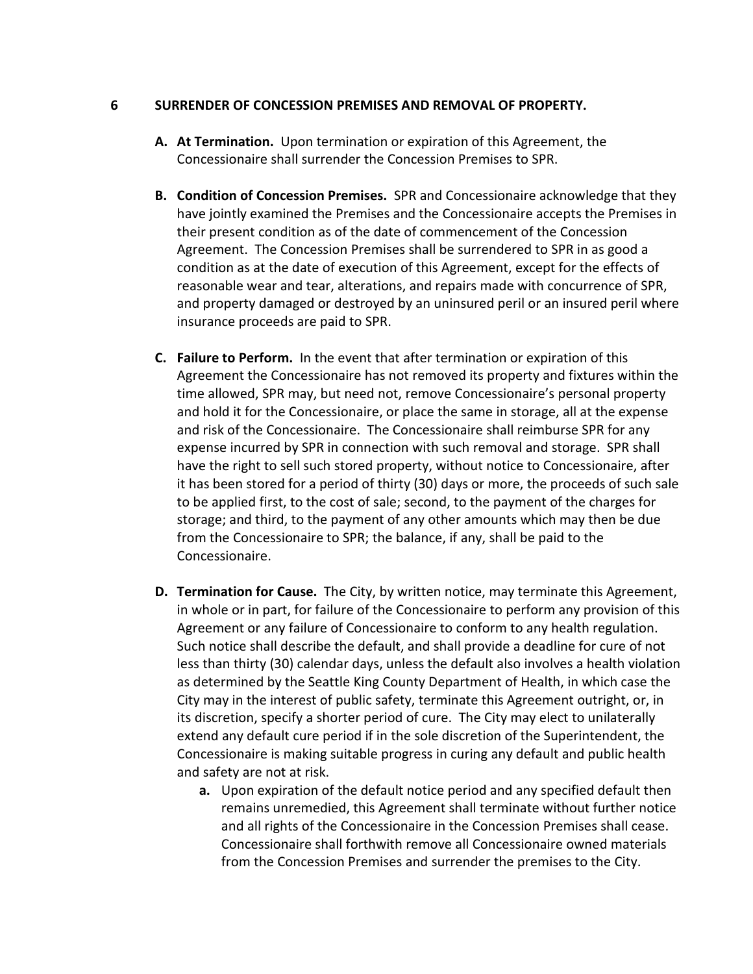#### **6 SURRENDER OF CONCESSION PREMISES AND REMOVAL OF PROPERTY.**

- **A. At Termination.** Upon termination or expiration of this Agreement, the Concessionaire shall surrender the Concession Premises to SPR.
- **B. Condition of Concession Premises.** SPR and Concessionaire acknowledge that they have jointly examined the Premises and the Concessionaire accepts the Premises in their present condition as of the date of commencement of the Concession Agreement. The Concession Premises shall be surrendered to SPR in as good a condition as at the date of execution of this Agreement, except for the effects of reasonable wear and tear, alterations, and repairs made with concurrence of SPR, and property damaged or destroyed by an uninsured peril or an insured peril where insurance proceeds are paid to SPR.
- **C. Failure to Perform.** In the event that after termination or expiration of this Agreement the Concessionaire has not removed its property and fixtures within the time allowed, SPR may, but need not, remove Concessionaire's personal property and hold it for the Concessionaire, or place the same in storage, all at the expense and risk of the Concessionaire. The Concessionaire shall reimburse SPR for any expense incurred by SPR in connection with such removal and storage. SPR shall have the right to sell such stored property, without notice to Concessionaire, after it has been stored for a period of thirty (30) days or more, the proceeds of such sale to be applied first, to the cost of sale; second, to the payment of the charges for storage; and third, to the payment of any other amounts which may then be due from the Concessionaire to SPR; the balance, if any, shall be paid to the Concessionaire.
- **D. Termination for Cause.** The City, by written notice, may terminate this Agreement, in whole or in part, for failure of the Concessionaire to perform any provision of this Agreement or any failure of Concessionaire to conform to any health regulation. Such notice shall describe the default, and shall provide a deadline for cure of not less than thirty (30) calendar days, unless the default also involves a health violation as determined by the Seattle King County Department of Health, in which case the City may in the interest of public safety, terminate this Agreement outright, or, in its discretion, specify a shorter period of cure. The City may elect to unilaterally extend any default cure period if in the sole discretion of the Superintendent, the Concessionaire is making suitable progress in curing any default and public health and safety are not at risk.
	- **a.** Upon expiration of the default notice period and any specified default then remains unremedied, this Agreement shall terminate without further notice and all rights of the Concessionaire in the Concession Premises shall cease. Concessionaire shall forthwith remove all Concessionaire owned materials from the Concession Premises and surrender the premises to the City.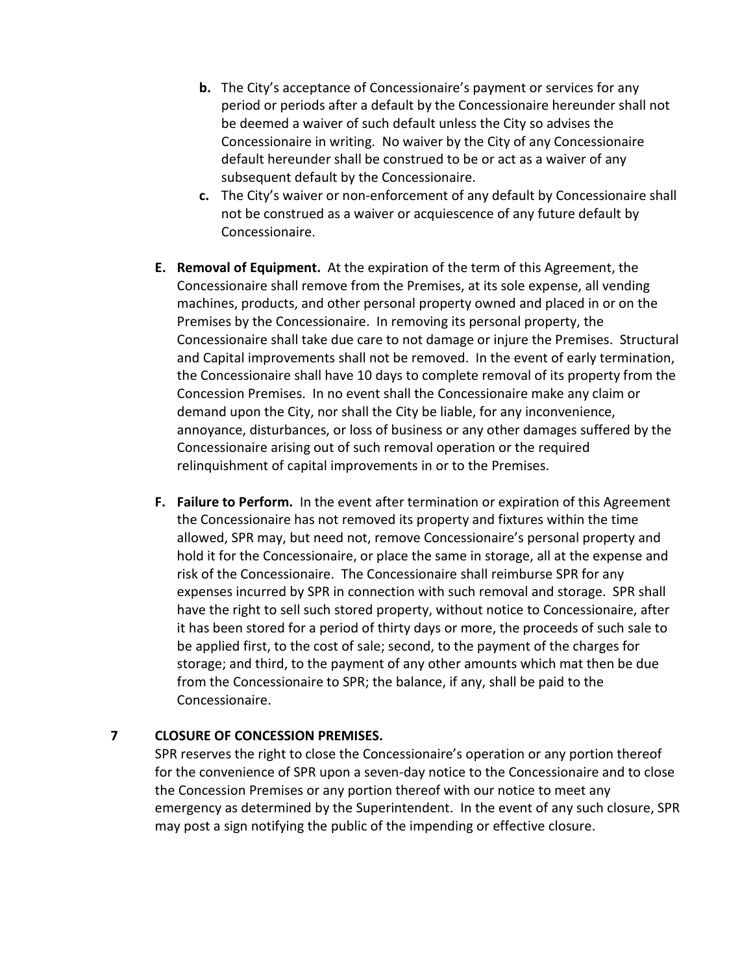- **b.** The City's acceptance of Concessionaire's payment or services for any period or periods after a default by the Concessionaire hereunder shall not be deemed a waiver of such default unless the City so advises the Concessionaire in writing. No waiver by the City of any Concessionaire default hereunder shall be construed to be or act as a waiver of any subsequent default by the Concessionaire.
- **c.** The City's waiver or non-enforcement of any default by Concessionaire shall not be construed as a waiver or acquiescence of any future default by Concessionaire.
- **E. Removal of Equipment.** At the expiration of the term of this Agreement, the Concessionaire shall remove from the Premises, at its sole expense, all vending machines, products, and other personal property owned and placed in or on the Premises by the Concessionaire. In removing its personal property, the Concessionaire shall take due care to not damage or injure the Premises. Structural and Capital improvements shall not be removed. In the event of early termination, the Concessionaire shall have 10 days to complete removal of its property from the Concession Premises. In no event shall the Concessionaire make any claim or demand upon the City, nor shall the City be liable, for any inconvenience, annoyance, disturbances, or loss of business or any other damages suffered by the Concessionaire arising out of such removal operation or the required relinquishment of capital improvements in or to the Premises.
- **F. Failure to Perform.** In the event after termination or expiration of this Agreement the Concessionaire has not removed its property and fixtures within the time allowed, SPR may, but need not, remove Concessionaire's personal property and hold it for the Concessionaire, or place the same in storage, all at the expense and risk of the Concessionaire. The Concessionaire shall reimburse SPR for any expenses incurred by SPR in connection with such removal and storage. SPR shall have the right to sell such stored property, without notice to Concessionaire, after it has been stored for a period of thirty days or more, the proceeds of such sale to be applied first, to the cost of sale; second, to the payment of the charges for storage; and third, to the payment of any other amounts which mat then be due from the Concessionaire to SPR; the balance, if any, shall be paid to the Concessionaire.

## **7 CLOSURE OF CONCESSION PREMISES.**

SPR reserves the right to close the Concessionaire's operation or any portion thereof for the convenience of SPR upon a seven-day notice to the Concessionaire and to close the Concession Premises or any portion thereof with our notice to meet any emergency as determined by the Superintendent. In the event of any such closure, SPR may post a sign notifying the public of the impending or effective closure.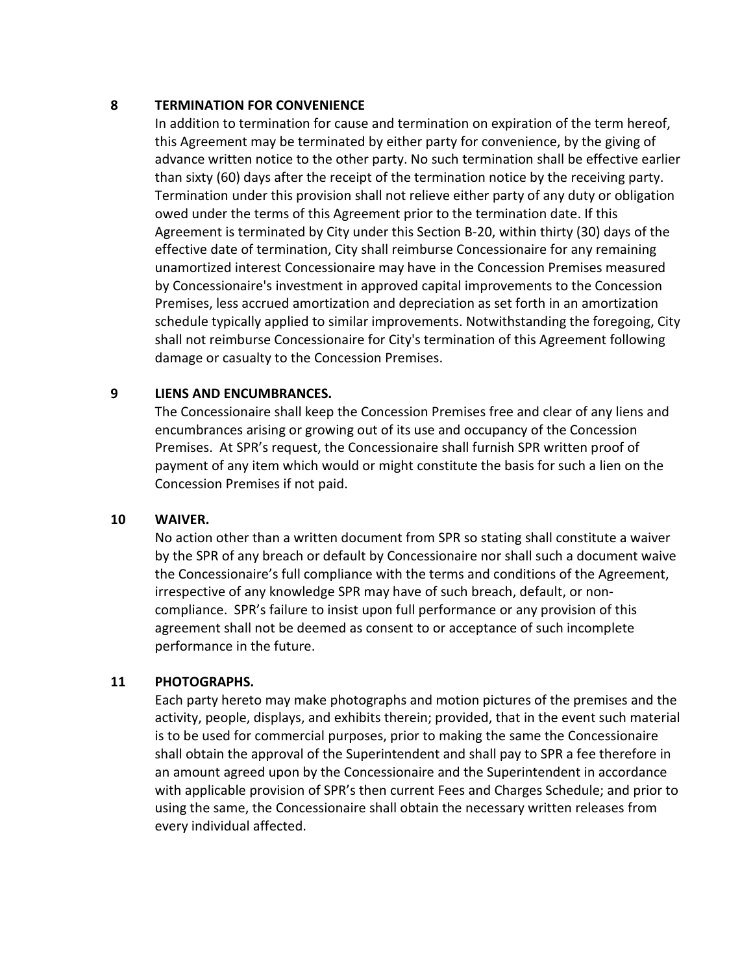#### **8 TERMINATION FOR CONVENIENCE**

In addition to termination for cause and termination on expiration of the term hereof, this Agreement may be terminated by either party for convenience, by the giving of advance written notice to the other party. No such termination shall be effective earlier than sixty (60) days after the receipt of the termination notice by the receiving party. Termination under this provision shall not relieve either party of any duty or obligation owed under the terms of this Agreement prior to the termination date. If this Agreement is terminated by City under this Section B-20, within thirty (30) days of the effective date of termination, City shall reimburse Concessionaire for any remaining unamortized interest Concessionaire may have in the Concession Premises measured by Concessionaire's investment in approved capital improvements to the Concession Premises, less accrued amortization and depreciation as set forth in an amortization schedule typically applied to similar improvements. Notwithstanding the foregoing, City shall not reimburse Concessionaire for City's termination of this Agreement following damage or casualty to the Concession Premises.

#### **9 LIENS AND ENCUMBRANCES.**

The Concessionaire shall keep the Concession Premises free and clear of any liens and encumbrances arising or growing out of its use and occupancy of the Concession Premises. At SPR's request, the Concessionaire shall furnish SPR written proof of payment of any item which would or might constitute the basis for such a lien on the Concession Premises if not paid.

#### **10 WAIVER.**

No action other than a written document from SPR so stating shall constitute a waiver by the SPR of any breach or default by Concessionaire nor shall such a document waive the Concessionaire's full compliance with the terms and conditions of the Agreement, irrespective of any knowledge SPR may have of such breach, default, or noncompliance. SPR's failure to insist upon full performance or any provision of this agreement shall not be deemed as consent to or acceptance of such incomplete performance in the future.

#### **11 PHOTOGRAPHS.**

Each party hereto may make photographs and motion pictures of the premises and the activity, people, displays, and exhibits therein; provided, that in the event such material is to be used for commercial purposes, prior to making the same the Concessionaire shall obtain the approval of the Superintendent and shall pay to SPR a fee therefore in an amount agreed upon by the Concessionaire and the Superintendent in accordance with applicable provision of SPR's then current Fees and Charges Schedule; and prior to using the same, the Concessionaire shall obtain the necessary written releases from every individual affected.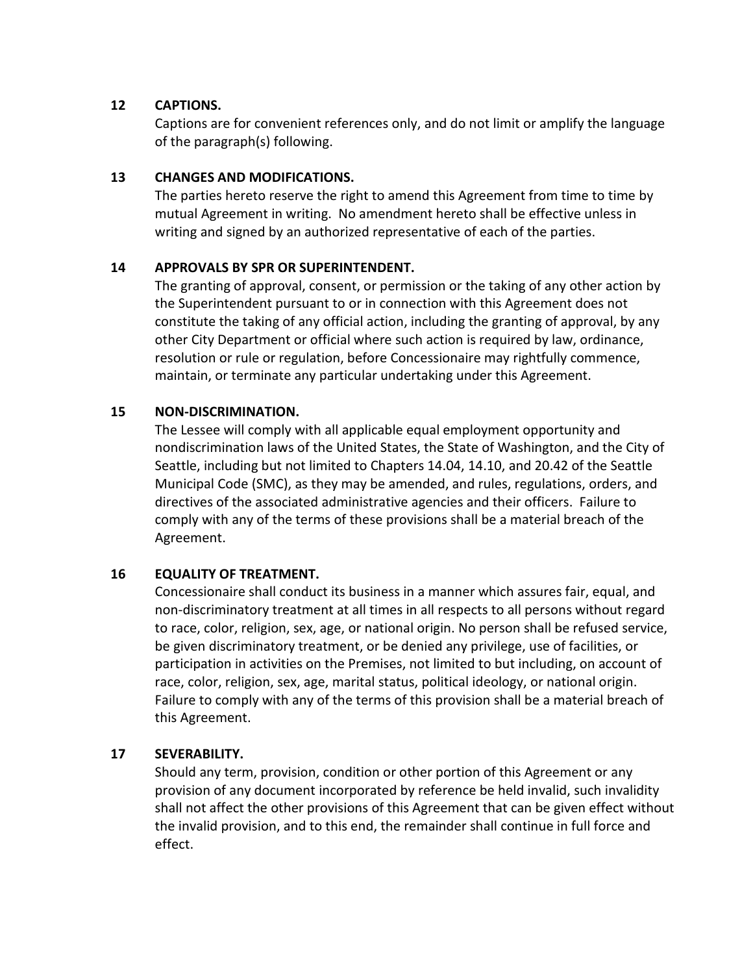## **12 CAPTIONS.**

Captions are for convenient references only, and do not limit or amplify the language of the paragraph(s) following.

## **13 CHANGES AND MODIFICATIONS.**

The parties hereto reserve the right to amend this Agreement from time to time by mutual Agreement in writing. No amendment hereto shall be effective unless in writing and signed by an authorized representative of each of the parties.

## **14 APPROVALS BY SPR OR SUPERINTENDENT.**

The granting of approval, consent, or permission or the taking of any other action by the Superintendent pursuant to or in connection with this Agreement does not constitute the taking of any official action, including the granting of approval, by any other City Department or official where such action is required by law, ordinance, resolution or rule or regulation, before Concessionaire may rightfully commence, maintain, or terminate any particular undertaking under this Agreement.

## **15 NON-DISCRIMINATION.**

The Lessee will comply with all applicable equal employment opportunity and nondiscrimination laws of the United States, the State of Washington, and the City of Seattle, including but not limited to Chapters 14.04, 14.10, and 20.42 of the Seattle Municipal Code (SMC), as they may be amended, and rules, regulations, orders, and directives of the associated administrative agencies and their officers. Failure to comply with any of the terms of these provisions shall be a material breach of the Agreement.

## **16 EQUALITY OF TREATMENT.**

Concessionaire shall conduct its business in a manner which assures fair, equal, and non-discriminatory treatment at all times in all respects to all persons without regard to race, color, religion, sex, age, or national origin. No person shall be refused service, be given discriminatory treatment, or be denied any privilege, use of facilities, or participation in activities on the Premises, not limited to but including, on account of race, color, religion, sex, age, marital status, political ideology, or national origin. Failure to comply with any of the terms of this provision shall be a material breach of this Agreement.

## **17 SEVERABILITY.**

Should any term, provision, condition or other portion of this Agreement or any provision of any document incorporated by reference be held invalid, such invalidity shall not affect the other provisions of this Agreement that can be given effect without the invalid provision, and to this end, the remainder shall continue in full force and effect.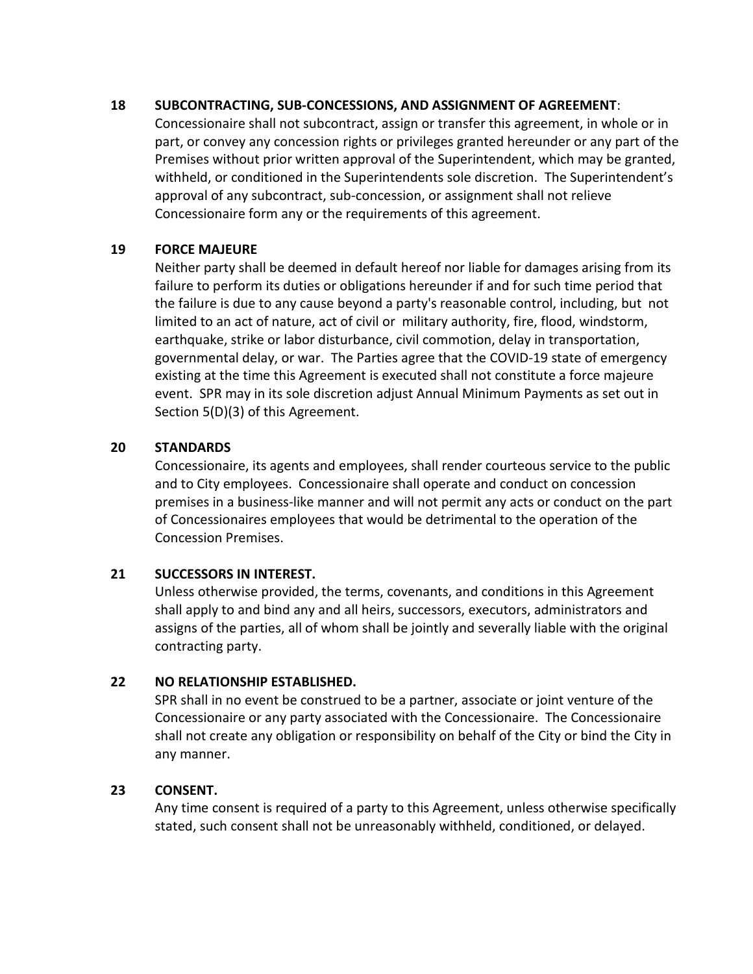## **18 SUBCONTRACTING, SUB-CONCESSIONS, AND ASSIGNMENT OF AGREEMENT**:

Concessionaire shall not subcontract, assign or transfer this agreement, in whole or in part, or convey any concession rights or privileges granted hereunder or any part of the Premises without prior written approval of the Superintendent, which may be granted, withheld, or conditioned in the Superintendents sole discretion. The Superintendent's approval of any subcontract, sub-concession, or assignment shall not relieve Concessionaire form any or the requirements of this agreement.

## **19 FORCE MAJEURE**

Neither party shall be deemed in default hereof nor liable for damages arising from its failure to perform its duties or obligations hereunder if and for such time period that the failure is due to any cause beyond a party's reasonable control, including, but not limited to an act of nature, act of civil or military authority, fire, flood, windstorm, earthquake, strike or labor disturbance, civil commotion, delay in transportation, governmental delay, or war. The Parties agree that the COVID-19 state of emergency existing at the time this Agreement is executed shall not constitute a force majeure event. SPR may in its sole discretion adjust Annual Minimum Payments as set out in Section 5(D)(3) of this Agreement.

## **20 STANDARDS**

Concessionaire, its agents and employees, shall render courteous service to the public and to City employees. Concessionaire shall operate and conduct on concession premises in a business-like manner and will not permit any acts or conduct on the part of Concessionaires employees that would be detrimental to the operation of the Concession Premises.

## **21 SUCCESSORS IN INTEREST.**

Unless otherwise provided, the terms, covenants, and conditions in this Agreement shall apply to and bind any and all heirs, successors, executors, administrators and assigns of the parties, all of whom shall be jointly and severally liable with the original contracting party.

## **22 NO RELATIONSHIP ESTABLISHED.**

SPR shall in no event be construed to be a partner, associate or joint venture of the Concessionaire or any party associated with the Concessionaire. The Concessionaire shall not create any obligation or responsibility on behalf of the City or bind the City in any manner.

## **23 CONSENT.**

Any time consent is required of a party to this Agreement, unless otherwise specifically stated, such consent shall not be unreasonably withheld, conditioned, or delayed.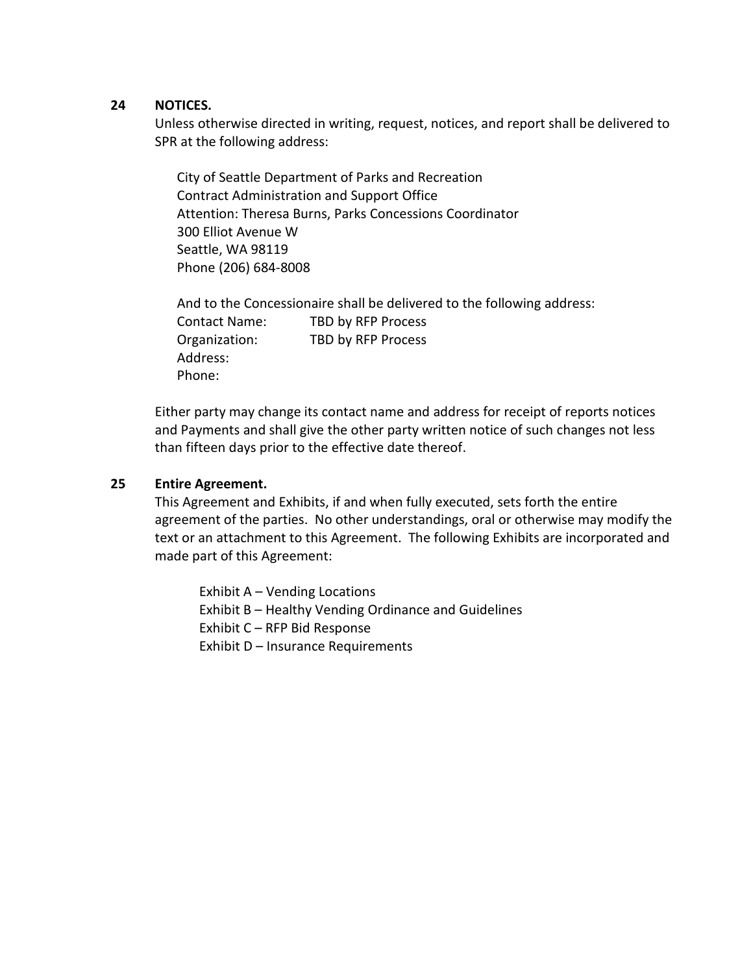#### **24 NOTICES.**

Unless otherwise directed in writing, request, notices, and report shall be delivered to SPR at the following address:

City of Seattle Department of Parks and Recreation Contract Administration and Support Office Attention: Theresa Burns, Parks Concessions Coordinator 300 Elliot Avenue W Seattle, WA 98119 Phone (206) 684-8008

And to the Concessionaire shall be delivered to the following address: Contact Name: TBD by RFP Process Organization: TBD by RFP Process Address: Phone:

Either party may change its contact name and address for receipt of reports notices and Payments and shall give the other party written notice of such changes not less than fifteen days prior to the effective date thereof.

#### **25 Entire Agreement.**

This Agreement and Exhibits, if and when fully executed, sets forth the entire agreement of the parties. No other understandings, oral or otherwise may modify the text or an attachment to this Agreement. The following Exhibits are incorporated and made part of this Agreement:

Exhibit A – Vending Locations Exhibit B – Healthy Vending Ordinance and Guidelines Exhibit C – RFP Bid Response Exhibit D – Insurance Requirements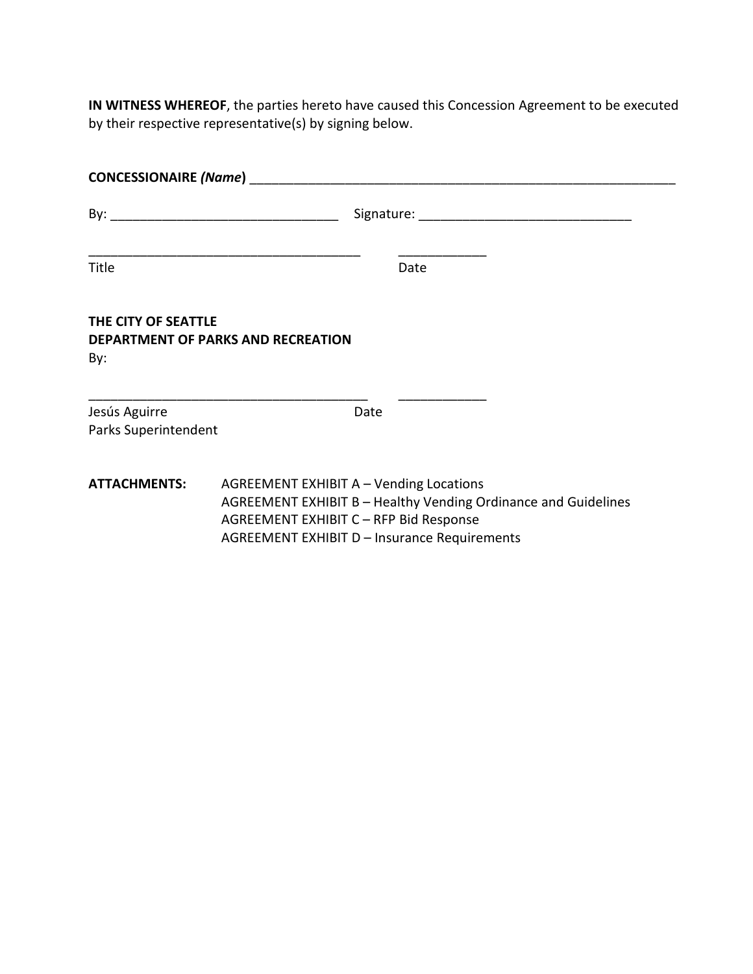**IN WITNESS WHEREOF**, the parties hereto have caused this Concession Agreement to be executed by their respective representative(s) by signing below.

| <b>CONCESSIONAIRE (Name)</b>          |                                                                                                                                                                                                     |  |  |  |
|---------------------------------------|-----------------------------------------------------------------------------------------------------------------------------------------------------------------------------------------------------|--|--|--|
|                                       |                                                                                                                                                                                                     |  |  |  |
| Title                                 | Date                                                                                                                                                                                                |  |  |  |
| THE CITY OF SEATTLE<br>By:            | DEPARTMENT OF PARKS AND RECREATION                                                                                                                                                                  |  |  |  |
| Jesús Aguirre<br>Parks Superintendent | Date                                                                                                                                                                                                |  |  |  |
| <b>ATTACHMENTS:</b>                   | AGREEMENT EXHIBIT A - Vending Locations<br>AGREEMENT EXHIBIT B - Healthy Vending Ordinance and Guidelines<br>AGREEMENT EXHIBIT C - RFP Bid Response<br>AGREEMENT EXHIBIT D - Insurance Requirements |  |  |  |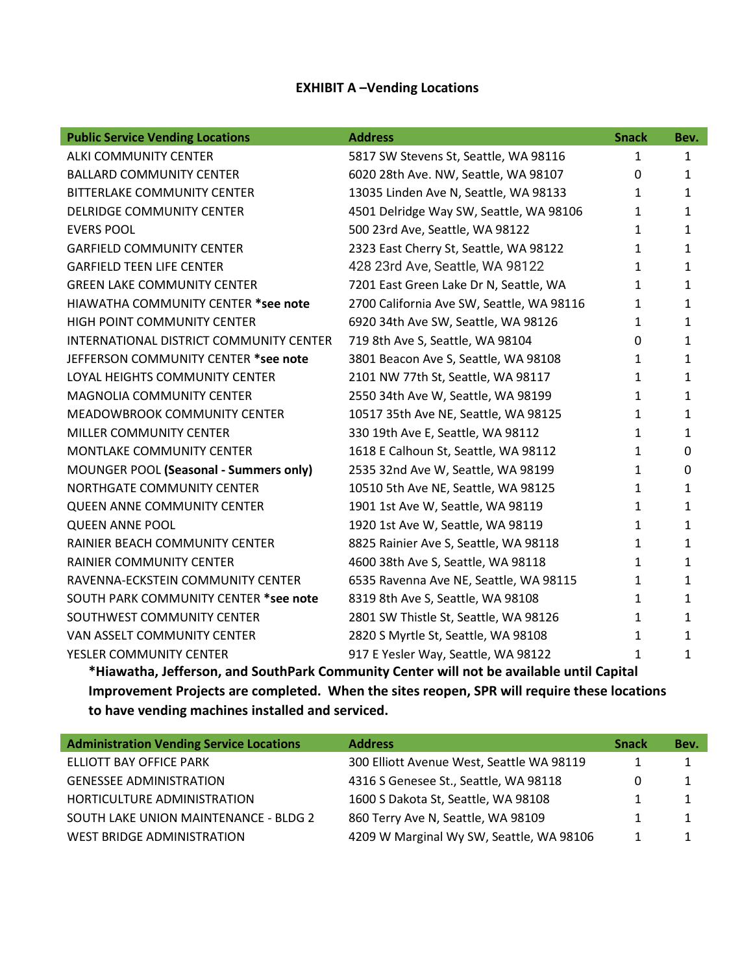## **EXHIBIT A –Vending Locations**

| <b>Public Service Vending Locations</b> | <b>Address</b>                            | <b>Snack</b> | Bev.         |
|-----------------------------------------|-------------------------------------------|--------------|--------------|
| <b>ALKI COMMUNITY CENTER</b>            | 5817 SW Stevens St, Seattle, WA 98116     | $\mathbf{1}$ | $\mathbf{1}$ |
| <b>BALLARD COMMUNITY CENTER</b>         | 6020 28th Ave. NW, Seattle, WA 98107      | 0            | 1            |
| <b>BITTERLAKE COMMUNITY CENTER</b>      | 13035 Linden Ave N, Seattle, WA 98133     | $\mathbf{1}$ | $\mathbf{1}$ |
| DELRIDGE COMMUNITY CENTER               | 4501 Delridge Way SW, Seattle, WA 98106   | $\mathbf{1}$ | $\mathbf{1}$ |
| <b>EVERS POOL</b>                       | 500 23rd Ave, Seattle, WA 98122           | $\mathbf{1}$ | $\mathbf{1}$ |
| <b>GARFIELD COMMUNITY CENTER</b>        | 2323 East Cherry St, Seattle, WA 98122    | 1            | $\mathbf{1}$ |
| <b>GARFIELD TEEN LIFE CENTER</b>        | 428 23rd Ave, Seattle, WA 98122           | $\mathbf{1}$ | 1            |
| <b>GREEN LAKE COMMUNITY CENTER</b>      | 7201 East Green Lake Dr N, Seattle, WA    | 1            | 1            |
| HIAWATHA COMMUNITY CENTER *see note     | 2700 California Ave SW, Seattle, WA 98116 | $\mathbf{1}$ | 1            |
| HIGH POINT COMMUNITY CENTER             | 6920 34th Ave SW, Seattle, WA 98126       | $\mathbf{1}$ | 1            |
| INTERNATIONAL DISTRICT COMMUNITY CENTER | 719 8th Ave S, Seattle, WA 98104          | 0            | 1            |
| JEFFERSON COMMUNITY CENTER *see note    | 3801 Beacon Ave S, Seattle, WA 98108      | 1            | $\mathbf{1}$ |
| LOYAL HEIGHTS COMMUNITY CENTER          | 2101 NW 77th St, Seattle, WA 98117        | 1            | $\mathbf{1}$ |
| <b>MAGNOLIA COMMUNITY CENTER</b>        | 2550 34th Ave W, Seattle, WA 98199        | 1            | 1            |
| MEADOWBROOK COMMUNITY CENTER            | 10517 35th Ave NE, Seattle, WA 98125      | 1            | $\mathbf{1}$ |
| MILLER COMMUNITY CENTER                 | 330 19th Ave E, Seattle, WA 98112         | 1            | 1            |
| MONTLAKE COMMUNITY CENTER               | 1618 E Calhoun St, Seattle, WA 98112      | $\mathbf{1}$ | 0            |
| MOUNGER POOL (Seasonal - Summers only)  | 2535 32nd Ave W, Seattle, WA 98199        | $\mathbf{1}$ | 0            |
| NORTHGATE COMMUNITY CENTER              | 10510 5th Ave NE, Seattle, WA 98125       | 1            | $\mathbf{1}$ |
| <b>QUEEN ANNE COMMUNITY CENTER</b>      | 1901 1st Ave W, Seattle, WA 98119         | 1            | 1            |
| <b>QUEEN ANNE POOL</b>                  | 1920 1st Ave W, Seattle, WA 98119         | $\mathbf{1}$ | $\mathbf{1}$ |
| RAINIER BEACH COMMUNITY CENTER          | 8825 Rainier Ave S, Seattle, WA 98118     | 1            | $\mathbf{1}$ |
| RAINIER COMMUNITY CENTER                | 4600 38th Ave S, Seattle, WA 98118        | 1            | $\mathbf{1}$ |
| RAVENNA-ECKSTEIN COMMUNITY CENTER       | 6535 Ravenna Ave NE, Seattle, WA 98115    | 1            | 1            |
| SOUTH PARK COMMUNITY CENTER *see note   | 8319 8th Ave S, Seattle, WA 98108         | $\mathbf{1}$ | 1            |
| SOUTHWEST COMMUNITY CENTER              | 2801 SW Thistle St, Seattle, WA 98126     | 1            | $\mathbf{1}$ |
| VAN ASSELT COMMUNITY CENTER             | 2820 S Myrtle St, Seattle, WA 98108       | $\mathbf{1}$ | 1            |
| YESLER COMMUNITY CENTER                 | 917 E Yesler Way, Seattle, WA 98122       | $\mathbf{1}$ | 1            |

**\*Hiawatha, Jefferson, and SouthPark Community Center will not be available until Capital Improvement Projects are completed. When the sites reopen, SPR will require these locations to have vending machines installed and serviced.**

| <b>Administration Vending Service Locations</b> | <b>Address</b>                            | <b>Snack</b> | Bev. |
|-------------------------------------------------|-------------------------------------------|--------------|------|
| ELLIOTT BAY OFFICE PARK                         | 300 Elliott Avenue West, Seattle WA 98119 |              |      |
| <b>GENESSEE ADMINISTRATION</b>                  | 4316 S Genesee St., Seattle, WA 98118     |              |      |
| HORTICULTURE ADMINISTRATION                     | 1600 S Dakota St, Seattle, WA 98108       |              |      |
| SOUTH LAKE UNION MAINTENANCE - BLDG 2           | 860 Terry Ave N, Seattle, WA 98109        |              |      |
| WEST BRIDGE ADMINISTRATION                      | 4209 W Marginal Wy SW, Seattle, WA 98106  |              |      |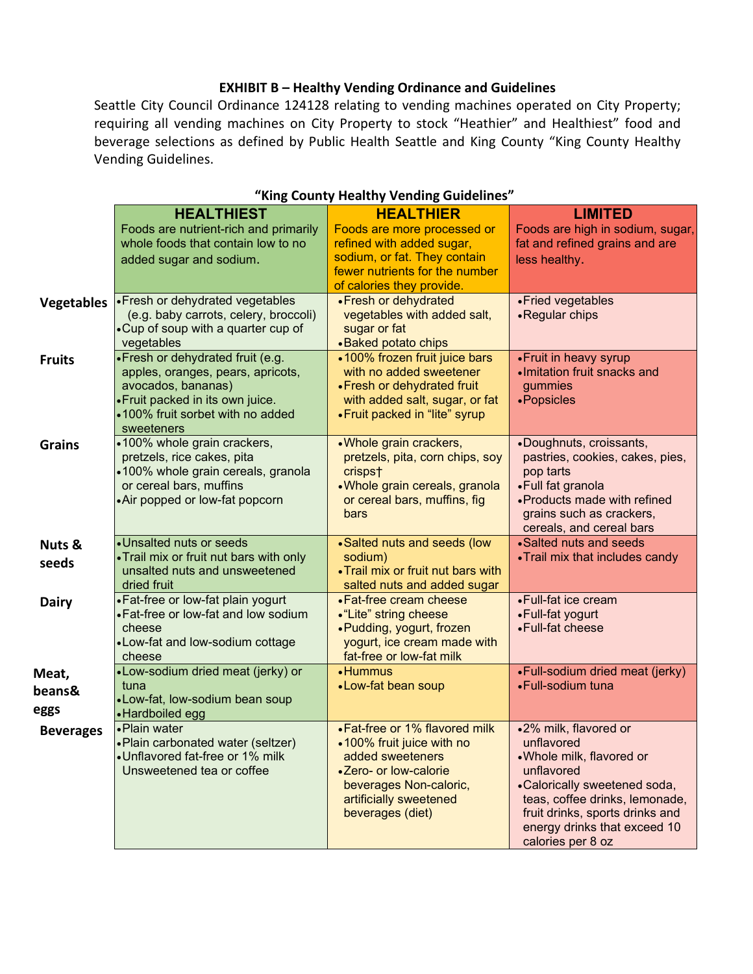#### **EXHIBIT B – Healthy Vending Ordinance and Guidelines**

Seattle City Council Ordinance 124128 relating to vending machines operated on City Property; requiring all vending machines on City Property to stock "Heathier" and Healthiest" food and beverage selections as defined by Public Health Seattle and King County "King County Healthy Vending Guidelines.

|                         | <b>HEALTHIEST</b>                                                                                                                                                                  | <b>HEALTHIER</b>                                                                                                                                                                 | <b>LIMITED</b>                                                                                                                                                                                                                          |
|-------------------------|------------------------------------------------------------------------------------------------------------------------------------------------------------------------------------|----------------------------------------------------------------------------------------------------------------------------------------------------------------------------------|-----------------------------------------------------------------------------------------------------------------------------------------------------------------------------------------------------------------------------------------|
|                         | Foods are nutrient-rich and primarily<br>whole foods that contain low to no<br>added sugar and sodium.                                                                             | Foods are more processed or<br>refined with added sugar,<br>sodium, or fat. They contain<br>fewer nutrients for the number<br>of calories they provide.                          | Foods are high in sodium, sugar,<br>fat and refined grains and are<br>less healthy.                                                                                                                                                     |
| <b>Vegetables</b>       | • Fresh or dehydrated vegetables<br>(e.g. baby carrots, celery, broccoli)<br>•Cup of soup with a quarter cup of<br>vegetables                                                      | • Fresh or dehydrated<br>vegetables with added salt,<br>sugar or fat<br>• Baked potato chips                                                                                     | • Fried vegetables<br>• Regular chips                                                                                                                                                                                                   |
| <b>Fruits</b>           | • Fresh or dehydrated fruit (e.g.<br>apples, oranges, pears, apricots,<br>avocados, bananas)<br>• Fruit packed in its own juice.<br>.100% fruit sorbet with no added<br>sweeteners | •100% frozen fruit juice bars<br>with no added sweetener<br>• Fresh or dehydrated fruit<br>with added salt, sugar, or fat<br>• Fruit packed in "lite" syrup                      | • Fruit in heavy syrup<br>·Imitation fruit snacks and<br>gummies<br>• Popsicles                                                                                                                                                         |
| <b>Grains</b>           | •100% whole grain crackers,<br>pretzels, rice cakes, pita<br>•100% whole grain cereals, granola<br>or cereal bars, muffins<br>•Air popped or low-fat popcorn                       | . Whole grain crackers,<br>pretzels, pita, corn chips, soy<br>crisps†<br>.Whole grain cereals, granola<br>or cereal bars, muffins, fig<br>bars                                   | •Doughnuts, croissants,<br>pastries, cookies, cakes, pies,<br>pop tarts<br>•Full fat granola<br>• Products made with refined<br>grains such as crackers,<br>cereals, and cereal bars                                                    |
| Nuts &<br>seeds         | •Unsalted nuts or seeds<br>•Trail mix or fruit nut bars with only<br>unsalted nuts and unsweetened<br>dried fruit                                                                  | •Salted nuts and seeds (low<br>sodium)<br>. Trail mix or fruit nut bars with<br>salted nuts and added sugar                                                                      | •Salted nuts and seeds<br>• Trail mix that includes candy                                                                                                                                                                               |
| <b>Dairy</b>            | • Fat-free or low-fat plain yogurt<br>• Fat-free or low-fat and low sodium<br>cheese<br>•Low-fat and low-sodium cottage<br>cheese                                                  | • Fat-free cream cheese<br>• "Lite" string cheese<br>• Pudding, yogurt, frozen<br>yogurt, ice cream made with<br>fat-free or low-fat milk                                        | •Full-fat ice cream<br>•Full-fat yogurt<br>• Full-fat cheese                                                                                                                                                                            |
| Meat,<br>beans&<br>eggs | •Low-sodium dried meat (jerky) or<br>tuna<br>•Low-fat, low-sodium bean soup<br>• Hardboiled egg                                                                                    | • Hummus<br>•Low-fat bean soup                                                                                                                                                   | •Full-sodium dried meat (jerky)<br>•Full-sodium tuna                                                                                                                                                                                    |
| <b>Beverages</b>        | • Plain water<br>• Plain carbonated water (seltzer)<br>•Unflavored fat-free or 1% milk<br>Unsweetened tea or coffee                                                                | • Fat-free or 1% flavored milk<br>•100% fruit juice with no<br>added sweeteners<br>•Zero- or low-calorie<br>beverages Non-caloric,<br>artificially sweetened<br>beverages (diet) | .2% milk, flavored or<br>unflavored<br>.Whole milk, flavored or<br>unflavored<br>•Calorically sweetened soda,<br>teas, coffee drinks, lemonade,<br>fruit drinks, sports drinks and<br>energy drinks that exceed 10<br>calories per 8 oz |

#### **"King County Healthy Vending Guidelines"**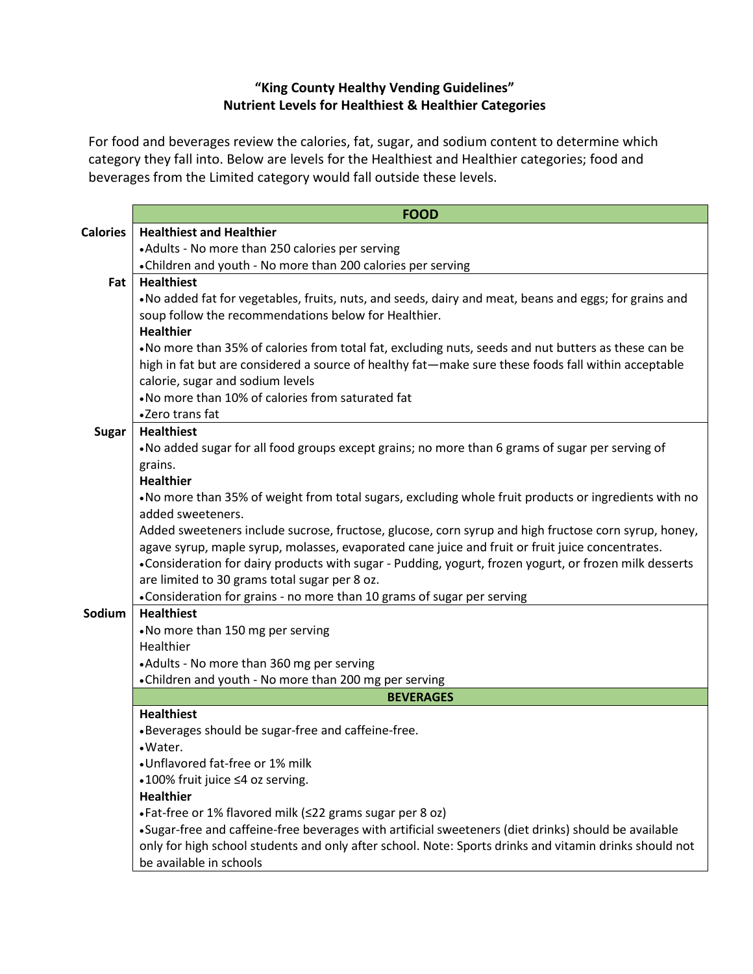# **"King County Healthy Vending Guidelines" Nutrient Levels for Healthiest & Healthier Categories**

For food and beverages review the calories, fat, sugar, and sodium content to determine which category they fall into. Below are levels for the Healthiest and Healthier categories; food and beverages from the Limited category would fall outside these levels.

|                 | <b>FOOD</b>                                                                                            |  |  |  |
|-----------------|--------------------------------------------------------------------------------------------------------|--|--|--|
| <b>Calories</b> | <b>Healthiest and Healthier</b>                                                                        |  |  |  |
|                 | • Adults - No more than 250 calories per serving                                                       |  |  |  |
|                 | • Children and youth - No more than 200 calories per serving                                           |  |  |  |
| Fat             | <b>Healthiest</b>                                                                                      |  |  |  |
|                 | . No added fat for vegetables, fruits, nuts, and seeds, dairy and meat, beans and eggs; for grains and |  |  |  |
|                 | soup follow the recommendations below for Healthier.                                                   |  |  |  |
|                 | <b>Healthier</b>                                                                                       |  |  |  |
|                 | . No more than 35% of calories from total fat, excluding nuts, seeds and nut butters as these can be   |  |  |  |
|                 | high in fat but are considered a source of healthy fat—make sure these foods fall within acceptable    |  |  |  |
|                 | calorie, sugar and sodium levels                                                                       |  |  |  |
|                 | . No more than 10% of calories from saturated fat                                                      |  |  |  |
|                 | •Zero trans fat                                                                                        |  |  |  |
| <b>Sugar</b>    | <b>Healthiest</b>                                                                                      |  |  |  |
|                 | • No added sugar for all food groups except grains; no more than 6 grams of sugar per serving of       |  |  |  |
|                 | grains.                                                                                                |  |  |  |
|                 | <b>Healthier</b>                                                                                       |  |  |  |
|                 | . No more than 35% of weight from total sugars, excluding whole fruit products or ingredients with no  |  |  |  |
|                 | added sweeteners.                                                                                      |  |  |  |
|                 | Added sweeteners include sucrose, fructose, glucose, corn syrup and high fructose corn syrup, honey,   |  |  |  |
|                 | agave syrup, maple syrup, molasses, evaporated cane juice and fruit or fruit juice concentrates.       |  |  |  |
|                 | •Consideration for dairy products with sugar - Pudding, yogurt, frozen yogurt, or frozen milk desserts |  |  |  |
|                 | are limited to 30 grams total sugar per 8 oz.                                                          |  |  |  |
|                 | • Consideration for grains - no more than 10 grams of sugar per serving                                |  |  |  |
| Sodium          | <b>Healthiest</b>                                                                                      |  |  |  |
|                 | •No more than 150 mg per serving                                                                       |  |  |  |
|                 | Healthier                                                                                              |  |  |  |
|                 | • Adults - No more than 360 mg per serving                                                             |  |  |  |
|                 | • Children and youth - No more than 200 mg per serving                                                 |  |  |  |
|                 | <b>BEVERAGES</b>                                                                                       |  |  |  |
|                 | <b>Healthiest</b>                                                                                      |  |  |  |
|                 | •Beverages should be sugar-free and caffeine-free.                                                     |  |  |  |
|                 | ·Water.                                                                                                |  |  |  |
|                 | •Unflavored fat-free or 1% milk                                                                        |  |  |  |
|                 | •100% fruit juice ≤4 oz serving.                                                                       |  |  |  |
|                 | <b>Healthier</b>                                                                                       |  |  |  |
|                 | • Fat-free or 1% flavored milk (<22 grams sugar per 8 oz)                                              |  |  |  |
|                 | •Sugar-free and caffeine-free beverages with artificial sweeteners (diet drinks) should be available   |  |  |  |
|                 | only for high school students and only after school. Note: Sports drinks and vitamin drinks should not |  |  |  |
|                 | be available in schools                                                                                |  |  |  |
|                 |                                                                                                        |  |  |  |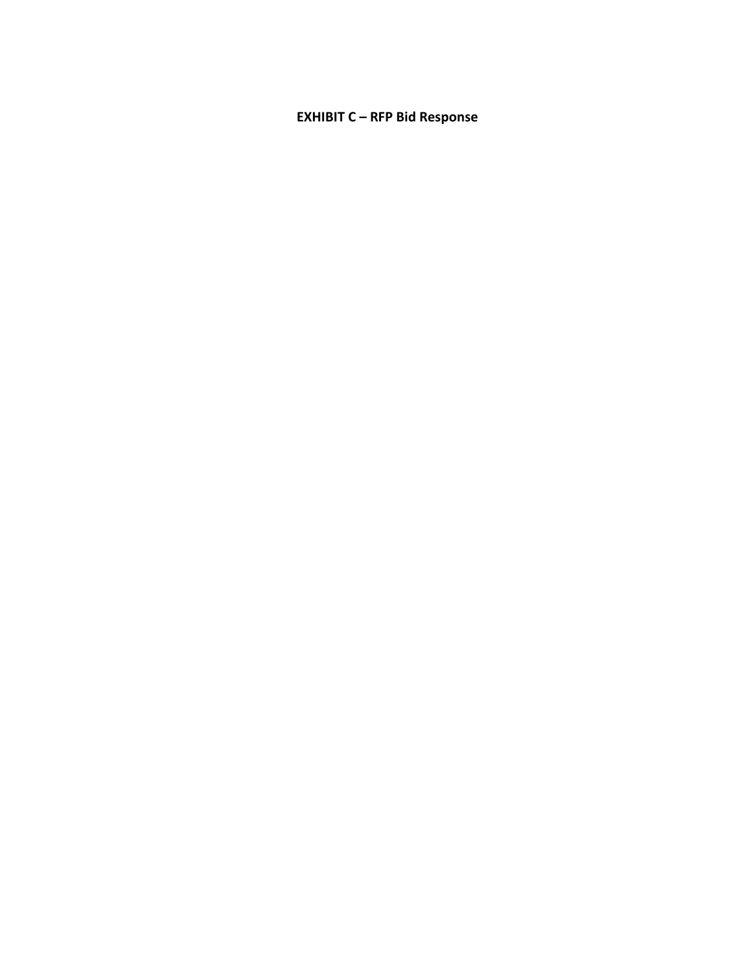## **EXHIBIT C – RFP Bid Response**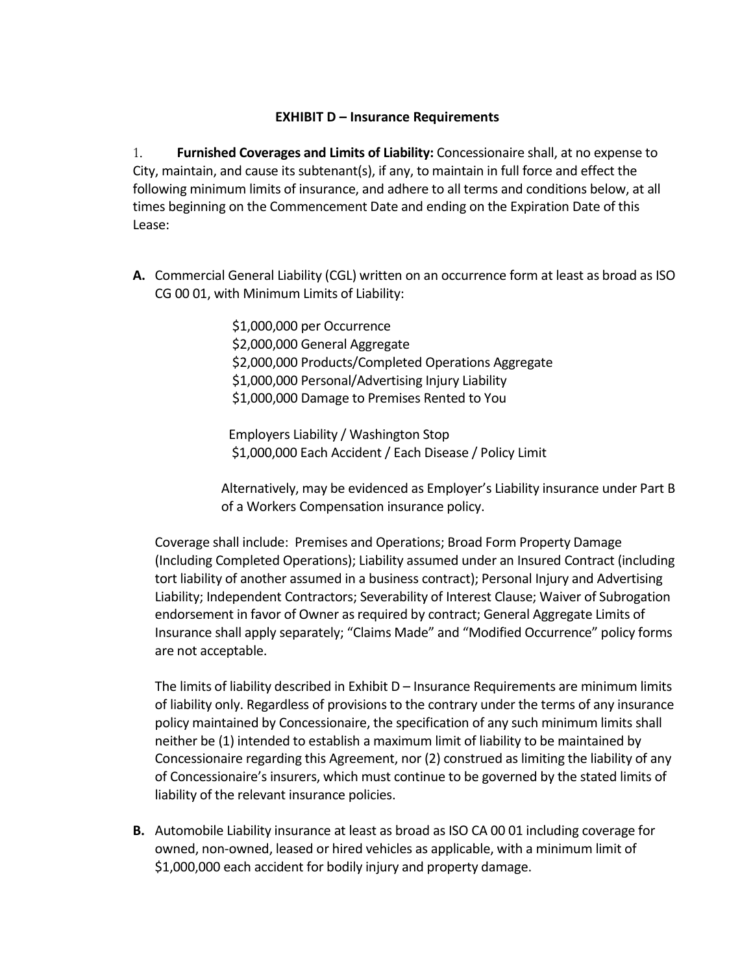## **EXHIBIT D – Insurance Requirements**

1. **Furnished Coverages and Limits of Liability:** Concessionaire shall, at no expense to City, maintain, and cause its subtenant(s), if any, to maintain in full force and effect the following minimum limits of insurance, and adhere to all terms and conditions below, at all times beginning on the Commencement Date and ending on the Expiration Date of this Lease:

**A.** Commercial General Liability (CGL) written on an occurrence form at least as broad as ISO CG 00 01, with Minimum Limits of Liability:

> \$1,000,000 per Occurrence \$2,000,000 General Aggregate \$2,000,000 Products/Completed Operations Aggregate \$1,000,000 Personal/Advertising Injury Liability \$1,000,000 Damage to Premises Rented to You

Employers Liability / Washington Stop \$1,000,000 Each Accident / Each Disease / Policy Limit

Alternatively, may be evidenced as Employer's Liability insurance under Part B of a Workers Compensation insurance policy.

Coverage shall include: Premises and Operations; Broad Form Property Damage (Including Completed Operations); Liability assumed under an Insured Contract (including tort liability of another assumed in a business contract); Personal Injury and Advertising Liability; Independent Contractors; Severability of Interest Clause; Waiver of Subrogation endorsement in favor of Owner as required by contract; General Aggregate Limits of Insurance shall apply separately; "Claims Made" and "Modified Occurrence" policy forms are not acceptable.

The limits of liability described in Exhibit D – Insurance Requirements are minimum limits of liability only. Regardless of provisions to the contrary under the terms of any insurance policy maintained by Concessionaire, the specification of any such minimum limits shall neither be (1) intended to establish a maximum limit of liability to be maintained by Concessionaire regarding this Agreement, nor (2) construed as limiting the liability of any of Concessionaire's insurers, which must continue to be governed by the stated limits of liability of the relevant insurance policies.

**B.** Automobile Liability insurance at least as broad as ISO CA 00 01 including coverage for owned, non-owned, leased or hired vehicles as applicable, with a minimum limit of \$1,000,000 each accident for bodily injury and property damage.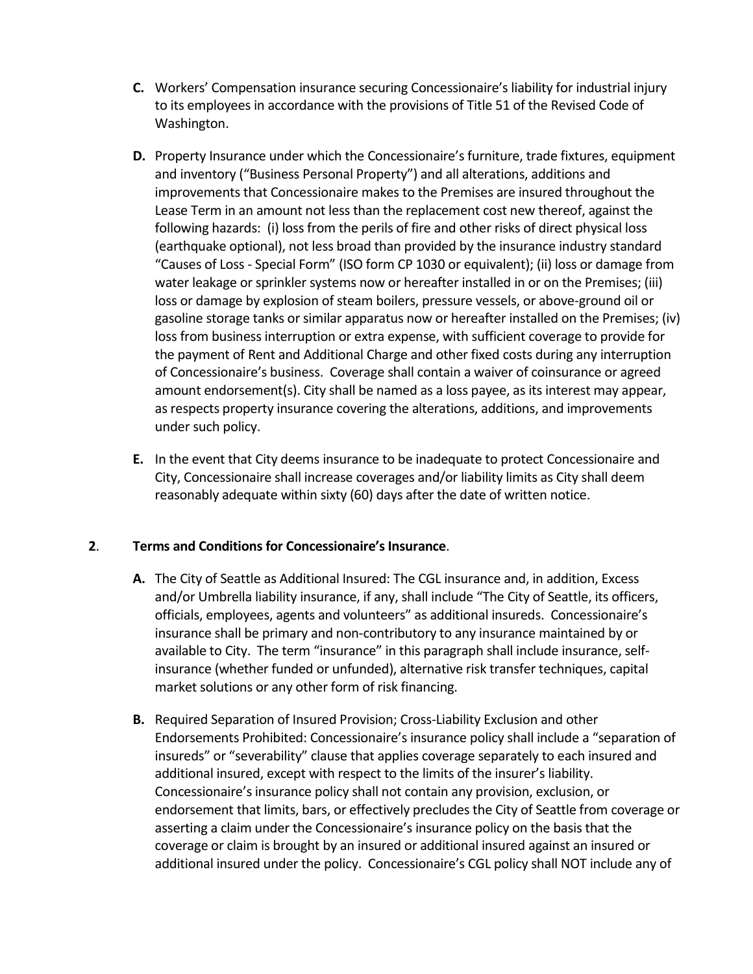- **C.** Workers' Compensation insurance securing Concessionaire's liability for industrial injury to its employees in accordance with the provisions of Title 51 of the Revised Code of Washington.
- **D.** Property Insurance under which the Concessionaire's furniture, trade fixtures, equipment and inventory ("Business Personal Property") and all alterations, additions and improvements that Concessionaire makes to the Premises are insured throughout the Lease Term in an amount not less than the replacement cost new thereof, against the following hazards: (i) loss from the perils of fire and other risks of direct physical loss (earthquake optional), not less broad than provided by the insurance industry standard "Causes of Loss - Special Form" (ISO form CP 1030 or equivalent); (ii) loss or damage from water leakage or sprinkler systems now or hereafter installed in or on the Premises; (iii) loss or damage by explosion of steam boilers, pressure vessels, or above-ground oil or gasoline storage tanks or similar apparatus now or hereafter installed on the Premises; (iv) loss from business interruption or extra expense, with sufficient coverage to provide for the payment of Rent and Additional Charge and other fixed costs during any interruption of Concessionaire's business. Coverage shall contain a waiver of coinsurance or agreed amount endorsement(s). City shall be named as a loss payee, as its interest may appear, as respects property insurance covering the alterations, additions, and improvements under such policy.
- **E.** In the event that City deems insurance to be inadequate to protect Concessionaire and City, Concessionaire shall increase coverages and/or liability limits as City shall deem reasonably adequate within sixty (60) days after the date of written notice.

## **2**. **Terms and Conditions for Concessionaire's Insurance**.

- **A.** The City of Seattle as Additional Insured: The CGL insurance and, in addition, Excess and/or Umbrella liability insurance, if any, shall include "The City of Seattle, its officers, officials, employees, agents and volunteers" as additional insureds. Concessionaire's insurance shall be primary and non-contributory to any insurance maintained by or available to City. The term "insurance" in this paragraph shall include insurance, selfinsurance (whether funded or unfunded), alternative risk transfer techniques, capital market solutions or any other form of risk financing.
- **B.** Required Separation of Insured Provision; Cross-Liability Exclusion and other Endorsements Prohibited: Concessionaire's insurance policy shall include a "separation of insureds" or "severability" clause that applies coverage separately to each insured and additional insured, except with respect to the limits of the insurer's liability. Concessionaire's insurance policy shall not contain any provision, exclusion, or endorsement that limits, bars, or effectively precludes the City of Seattle from coverage or asserting a claim under the Concessionaire's insurance policy on the basis that the coverage or claim is brought by an insured or additional insured against an insured or additional insured under the policy. Concessionaire's CGL policy shall NOT include any of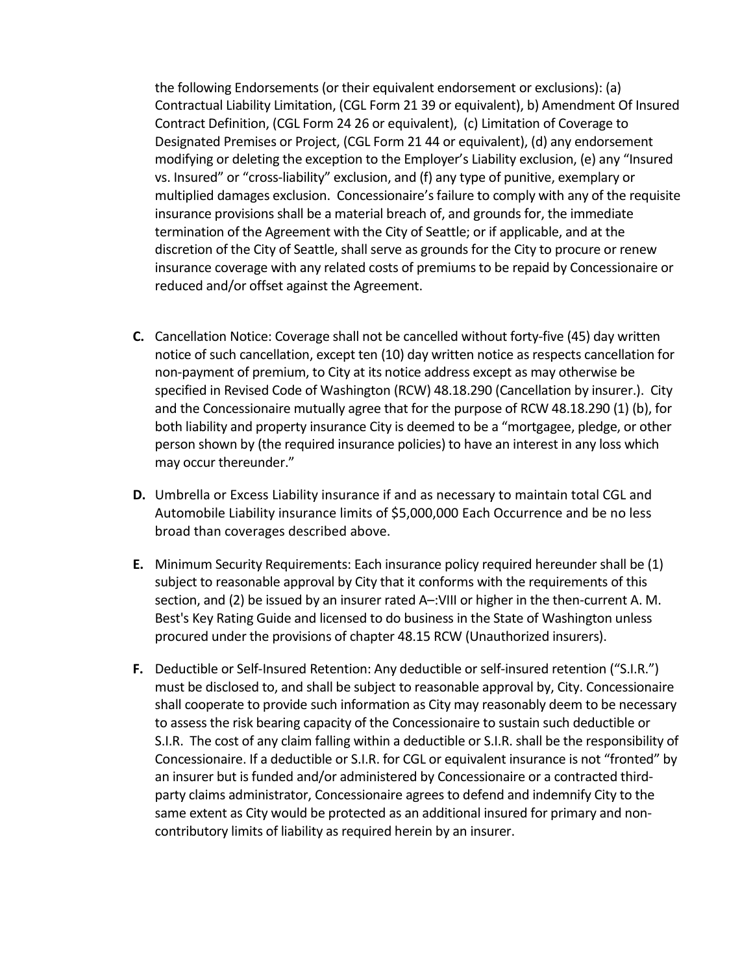the following Endorsements (or their equivalent endorsement or exclusions): (a) Contractual Liability Limitation, (CGL Form 21 39 or equivalent), b) Amendment Of Insured Contract Definition, (CGL Form 24 26 or equivalent), (c) Limitation of Coverage to Designated Premises or Project, (CGL Form 21 44 or equivalent), (d) any endorsement modifying or deleting the exception to the Employer's Liability exclusion, (e) any "Insured vs. Insured" or "cross-liability" exclusion, and (f) any type of punitive, exemplary or multiplied damages exclusion. Concessionaire's failure to comply with any of the requisite insurance provisions shall be a material breach of, and grounds for, the immediate termination of the Agreement with the City of Seattle; or if applicable, and at the discretion of the City of Seattle, shall serve as grounds for the City to procure or renew insurance coverage with any related costs of premiums to be repaid by Concessionaire or reduced and/or offset against the Agreement.

- **C.** Cancellation Notice: Coverage shall not be cancelled without forty-five (45) day written notice of such cancellation, except ten (10) day written notice as respects cancellation for non-payment of premium, to City at its notice address except as may otherwise be specified in Revised Code of Washington (RCW) 48.18.290 (Cancellation by insurer.). City and the Concessionaire mutually agree that for the purpose of RCW 48.18.290 (1) (b), for both liability and property insurance City is deemed to be a "mortgagee, pledge, or other person shown by (the required insurance policies) to have an interest in any loss which may occur thereunder."
- **D.** Umbrella or Excess Liability insurance if and as necessary to maintain total CGL and Automobile Liability insurance limits of \$5,000,000 Each Occurrence and be no less broad than coverages described above.
- **E.** Minimum Security Requirements: Each insurance policy required hereunder shall be (1) subject to reasonable approval by City that it conforms with the requirements of this section, and (2) be issued by an insurer rated A–:VIII or higher in the then-current A. M. Best's Key Rating Guide and licensed to do business in the State of Washington unless procured under the provisions of chapter 48.15 RCW (Unauthorized insurers).
- **F.** Deductible or Self-Insured Retention: Any deductible or self-insured retention ("S.I.R.") must be disclosed to, and shall be subject to reasonable approval by, City. Concessionaire shall cooperate to provide such information as City may reasonably deem to be necessary to assess the risk bearing capacity of the Concessionaire to sustain such deductible or S.I.R. The cost of any claim falling within a deductible or S.I.R. shall be the responsibility of Concessionaire. If a deductible or S.I.R. for CGL or equivalent insurance is not "fronted" by an insurer but is funded and/or administered by Concessionaire or a contracted thirdparty claims administrator, Concessionaire agrees to defend and indemnify City to the same extent as City would be protected as an additional insured for primary and noncontributory limits of liability as required herein by an insurer.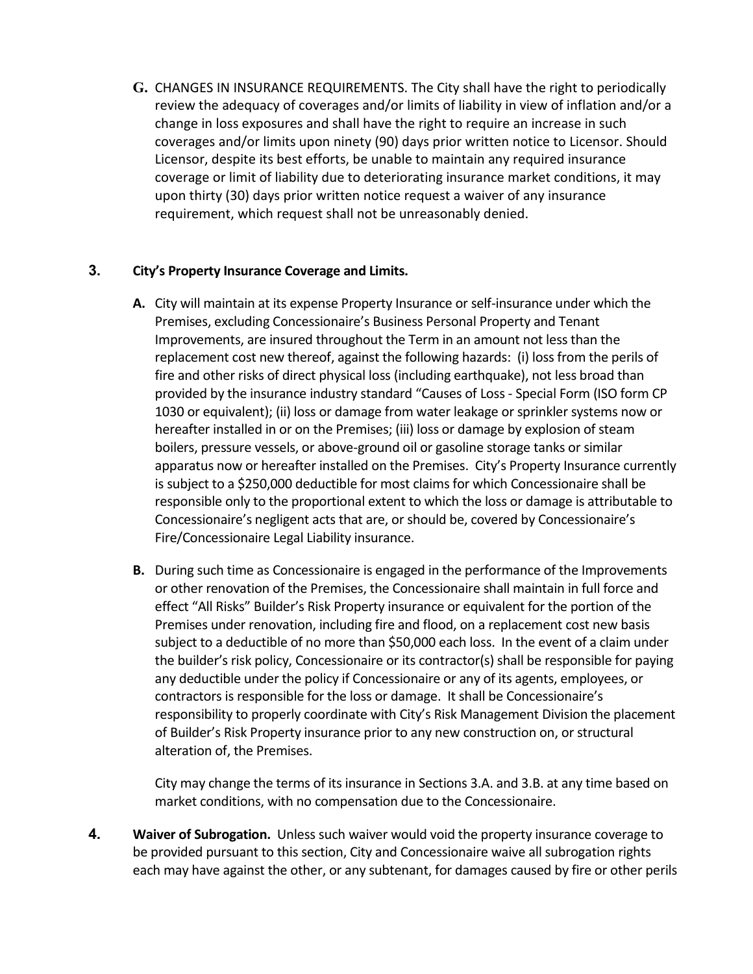**G.** CHANGES IN INSURANCE REQUIREMENTS. The City shall have the right to periodically review the adequacy of coverages and/or limits of liability in view of inflation and/or a change in loss exposures and shall have the right to require an increase in such coverages and/or limits upon ninety (90) days prior written notice to Licensor. Should Licensor, despite its best efforts, be unable to maintain any required insurance coverage or limit of liability due to deteriorating insurance market conditions, it may upon thirty (30) days prior written notice request a waiver of any insurance requirement, which request shall not be unreasonably denied.

## **3. City's Property Insurance Coverage and Limits.**

- **A.** City will maintain at its expense Property Insurance or self-insurance under which the Premises, excluding Concessionaire's Business Personal Property and Tenant Improvements, are insured throughout the Term in an amount not less than the replacement cost new thereof, against the following hazards: (i) loss from the perils of fire and other risks of direct physical loss (including earthquake), not less broad than provided by the insurance industry standard "Causes of Loss - Special Form (ISO form CP 1030 or equivalent); (ii) loss or damage from water leakage or sprinkler systems now or hereafter installed in or on the Premises; (iii) loss or damage by explosion of steam boilers, pressure vessels, or above-ground oil or gasoline storage tanks or similar apparatus now or hereafter installed on the Premises. City's Property Insurance currently is subject to a \$250,000 deductible for most claims for which Concessionaire shall be responsible only to the proportional extent to which the loss or damage is attributable to Concessionaire's negligent acts that are, or should be, covered by Concessionaire's Fire/Concessionaire Legal Liability insurance.
- **B.** During such time as Concessionaire is engaged in the performance of the Improvements or other renovation of the Premises, the Concessionaire shall maintain in full force and effect "All Risks" Builder's Risk Property insurance or equivalent for the portion of the Premises under renovation, including fire and flood, on a replacement cost new basis subject to a deductible of no more than \$50,000 each loss. In the event of a claim under the builder's risk policy, Concessionaire or its contractor(s) shall be responsible for paying any deductible under the policy if Concessionaire or any of its agents, employees, or contractors is responsible for the loss or damage. It shall be Concessionaire's responsibility to properly coordinate with City's Risk Management Division the placement of Builder's Risk Property insurance prior to any new construction on, or structural alteration of, the Premises.

City may change the terms of its insurance in Sections 3.A. and 3.B. at any time based on market conditions, with no compensation due to the Concessionaire.

**4. Waiver of Subrogation.** Unless such waiver would void the property insurance coverage to be provided pursuant to this section, City and Concessionaire waive all subrogation rights each may have against the other, or any subtenant, for damages caused by fire or other perils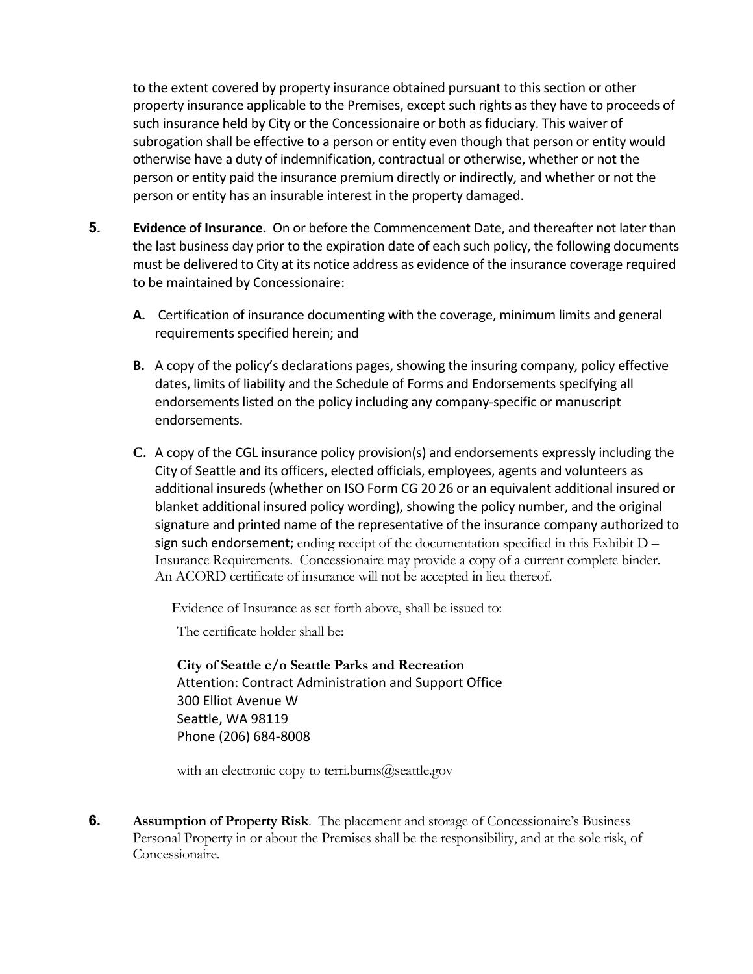to the extent covered by property insurance obtained pursuant to this section or other property insurance applicable to the Premises, except such rights as they have to proceeds of such insurance held by City or the Concessionaire or both as fiduciary. This waiver of subrogation shall be effective to a person or entity even though that person or entity would otherwise have a duty of indemnification, contractual or otherwise, whether or not the person or entity paid the insurance premium directly or indirectly, and whether or not the person or entity has an insurable interest in the property damaged.

- **5. Evidence of Insurance.** On or before the Commencement Date, and thereafter not later than the last business day prior to the expiration date of each such policy, the following documents must be delivered to City at its notice address as evidence of the insurance coverage required to be maintained by Concessionaire:
	- **A.** Certification of insurance documenting with the coverage, minimum limits and general requirements specified herein; and
	- **B.** A copy of the policy's declarations pages, showing the insuring company, policy effective dates, limits of liability and the Schedule of Forms and Endorsements specifying all endorsements listed on the policy including any company-specific or manuscript endorsements.
	- **C.** A copy of the CGL insurance policy provision(s) and endorsements expressly including the City of Seattle and its officers, elected officials, employees, agents and volunteers as additional insureds (whether on ISO Form CG 20 26 or an equivalent additional insured or blanket additional insured policy wording), showing the policy number, and the original signature and printed name of the representative of the insurance company authorized to sign such endorsement; ending receipt of the documentation specified in this Exhibit  $D -$ Insurance Requirements. Concessionaire may provide a copy of a current complete binder. An ACORD certificate of insurance will not be accepted in lieu thereof.

Evidence of Insurance as set forth above, shall be issued to:

The certificate holder shall be:

**City of Seattle c/o Seattle Parks and Recreation** Attention: Contract Administration and Support Office 300 Elliot Avenue W Seattle, WA 98119 Phone (206) 684-8008

with an electronic copy to [terri.burns@seattle.gov](mailto:terri.burns@seattle.gov)

**6. Assumption of Property Risk**. The placement and storage of Concessionaire's Business Personal Property in or about the Premises shall be the responsibility, and at the sole risk, of Concessionaire.